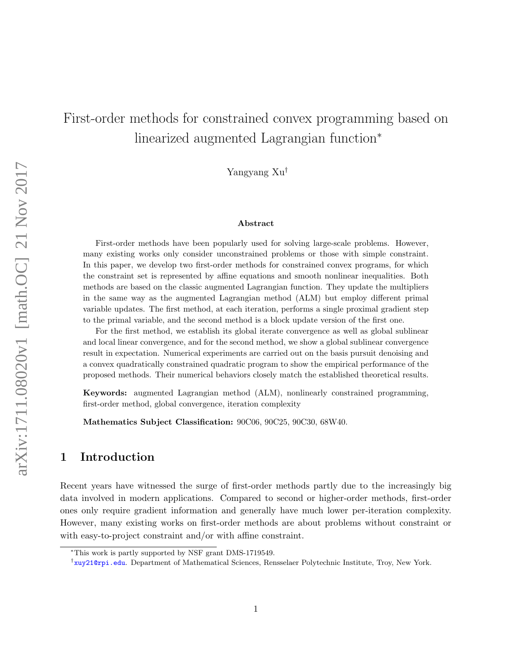# First-order methods for constrained convex programming based on linearized augmented Lagrangian function<sup>∗</sup>

Yangyang Xu†

#### Abstract

First-order methods have been popularly used for solving large-scale problems. However, many existing works only consider unconstrained problems or those with simple constraint. In this paper, we develop two first-order methods for constrained convex programs, for which the constraint set is represented by affine equations and smooth nonlinear inequalities. Both methods are based on the classic augmented Lagrangian function. They update the multipliers in the same way as the augmented Lagrangian method (ALM) but employ different primal variable updates. The first method, at each iteration, performs a single proximal gradient step to the primal variable, and the second method is a block update version of the first one.

For the first method, we establish its global iterate convergence as well as global sublinear and local linear convergence, and for the second method, we show a global sublinear convergence result in expectation. Numerical experiments are carried out on the basis pursuit denoising and a convex quadratically constrained quadratic program to show the empirical performance of the proposed methods. Their numerical behaviors closely match the established theoretical results.

Keywords: augmented Lagrangian method (ALM), nonlinearly constrained programming, first-order method, global convergence, iteration complexity

Mathematics Subject Classification: 90C06, 90C25, 90C30, 68W40.

# 1 Introduction

Recent years have witnessed the surge of first-order methods partly due to the increasingly big data involved in modern applications. Compared to second or higher-order methods, first-order ones only require gradient information and generally have much lower per-iteration complexity. However, many existing works on first-order methods are about problems without constraint or with easy-to-project constraint and/or with affine constraint.

<sup>∗</sup>This work is partly supported by NSF grant DMS-1719549.

<sup>&</sup>lt;sup>†</sup><xuy21@rpi.edu>. Department of Mathematical Sciences, Rensselaer Polytechnic Institute, Troy, New York.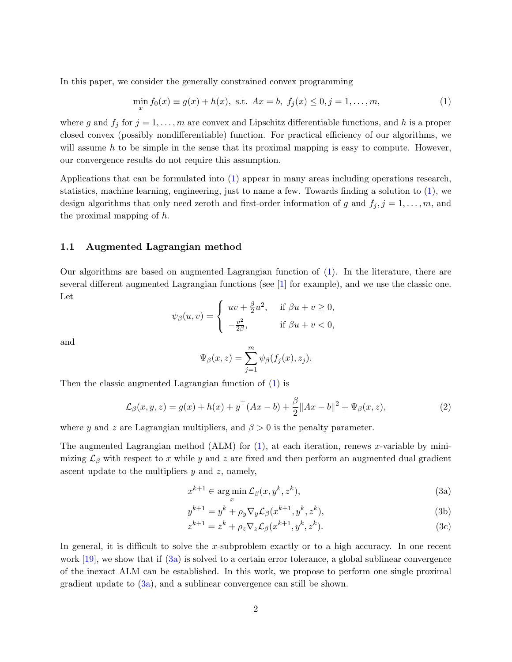<span id="page-1-2"></span>In this paper, we consider the generally constrained convex programming

<span id="page-1-0"></span>
$$
\min_{x} f_0(x) \equiv g(x) + h(x), \text{ s.t. } Ax = b, \ f_j(x) \le 0, j = 1, \dots, m,
$$
\n(1)

where g and  $f_j$  for  $j = 1, ..., m$  are convex and Lipschitz differentiable functions, and h is a proper closed convex (possibly nondifferentiable) function. For practical efficiency of our algorithms, we will assume  $h$  to be simple in the sense that its proximal mapping is easy to compute. However, our convergence results do not require this assumption.

Applications that can be formulated into [\(1\)](#page-1-0) appear in many areas including operations research, statistics, machine learning, engineering, just to name a few. Towards finding a solution to [\(1\)](#page-1-0), we design algorithms that only need zeroth and first-order information of g and  $f_i$ ,  $j = 1, \ldots, m$ , and the proximal mapping of h.

### 1.1 Augmented Lagrangian method

Our algorithms are based on augmented Lagrangian function of [\(1\)](#page-1-0). In the literature, there are several different augmented Lagrangian functions (see [\[1\]](#page-27-0) for example), and we use the classic one. Let

$$
\psi_{\beta}(u,v) = \begin{cases} uv + \frac{\beta}{2}u^2, & \text{if } \beta u + v \ge 0, \\ -\frac{v^2}{2\beta}, & \text{if } \beta u + v < 0, \end{cases}
$$

and

$$
\Psi_{\beta}(x,z) = \sum_{j=1}^{m} \psi_{\beta}(f_j(x), z_j).
$$

Then the classic augmented Lagrangian function of [\(1\)](#page-1-0) is

$$
\mathcal{L}_{\beta}(x, y, z) = g(x) + h(x) + y^{\top} (Ax - b) + \frac{\beta}{2} \|Ax - b\|^2 + \Psi_{\beta}(x, z),
$$
\n(2)

where y and z are Lagrangian multipliers, and  $\beta > 0$  is the penalty parameter.

The augmented Lagrangian method (ALM) for  $(1)$ , at each iteration, renews x-variable by minimizing  $\mathcal{L}_{\beta}$  with respect to x while y and z are fixed and then perform an augmented dual gradient ascent update to the multipliers  $y$  and  $z$ , namely,

<span id="page-1-1"></span>
$$
x^{k+1} \in \arg\min_{x} \mathcal{L}_{\beta}(x, y^k, z^k),\tag{3a}
$$

$$
y^{k+1} = y^k + \rho_y \nabla_y \mathcal{L}_\beta(x^{k+1}, y^k, z^k),\tag{3b}
$$

$$
z^{k+1} = z^k + \rho_z \nabla_z \mathcal{L}_\beta(x^{k+1}, y^k, z^k). \tag{3c}
$$

In general, it is difficult to solve the x-subproblem exactly or to a high accuracy. In one recent work  $[19]$ , we show that if  $(3a)$  is solved to a certain error tolerance, a global sublinear convergence of the inexact ALM can be established. In this work, we propose to perform one single proximal gradient update to  $(3a)$ , and a sublinear convergence can still be shown.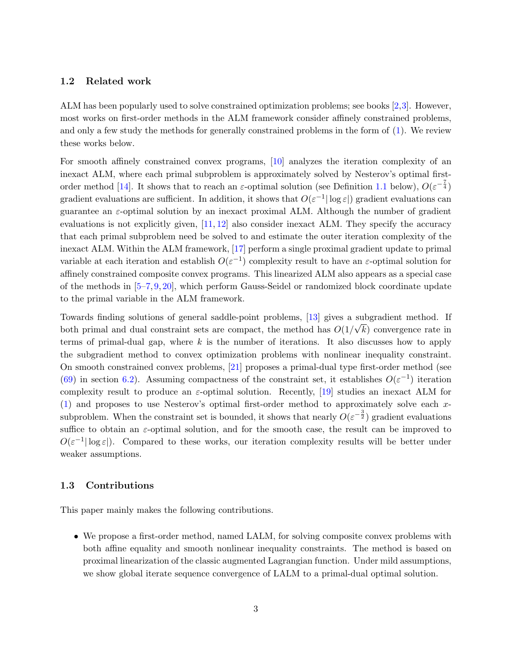### <span id="page-2-0"></span>1.2 Related work

ALM has been popularly used to solve constrained optimization problems; see books [\[2,](#page-27-1)[3\]](#page-27-2). However, most works on first-order methods in the ALM framework consider affinely constrained problems, and only a few study the methods for generally constrained problems in the form of [\(1\)](#page-1-0). We review these works below.

For smooth affinely constrained convex programs, [\[10\]](#page-28-1) analyzes the iteration complexity of an inexact ALM, where each primal subproblem is approximately solved by Nesterov's optimal first-order method [\[14\]](#page-28-2). It shows that to reach an  $\varepsilon$ -optimal solution (see Definition [1.1](#page-3-0) below),  $O(\varepsilon^{-\frac{7}{4}})$ gradient evaluations are sufficient. In addition, it shows that  $O(\varepsilon^{-1}|\log \varepsilon|)$  gradient evaluations can guarantee an  $\varepsilon$ -optimal solution by an inexact proximal ALM. Although the number of gradient evaluations is not explicitly given, [\[11,](#page-28-3) [12\]](#page-28-4) also consider inexact ALM. They specify the accuracy that each primal subproblem need be solved to and estimate the outer iteration complexity of the inexact ALM. Within the ALM framework, [\[17\]](#page-28-5) perform a single proximal gradient update to primal variable at each iteration and establish  $O(\varepsilon^{-1})$  complexity result to have an  $\varepsilon$ -optimal solution for affinely constrained composite convex programs. This linearized ALM also appears as a special case of the methods in [\[5](#page-27-3)[–7,](#page-27-4) [9,](#page-27-5) [20\]](#page-28-6), which perform Gauss-Seidel or randomized block coordinate update to the primal variable in the ALM framework.

Towards finding solutions of general saddle-point problems, [\[13\]](#page-28-7) gives a subgradient method. If both primal and dual constraint sets are compact, the method has  $O(1/\sqrt{k})$  convergence rate in terms of primal-dual gap, where  $k$  is the number of iterations. It also discusses how to apply the subgradient method to convex optimization problems with nonlinear inequality constraint. On smooth constrained convex problems, [\[21\]](#page-28-8) proposes a primal-dual type first-order method (see [\(69\)](#page-25-0) in section [6.2\)](#page-25-1). Assuming compactness of the constraint set, it establishes  $O(\varepsilon^{-1})$  iteration complexity result to produce an  $\varepsilon$ -optimal solution. Recently, [\[19\]](#page-28-0) studies an inexact ALM for [\(1\)](#page-1-0) and proposes to use Nesterov's optimal first-order method to approximately solve each xsubproblem. When the constraint set is bounded, it shows that nearly  $O(\varepsilon^{-\frac{3}{2}})$  gradient evaluations suffice to obtain an  $\varepsilon$ -optimal solution, and for the smooth case, the result can be improved to  $O(\varepsilon^{-1}|\log \varepsilon|)$ . Compared to these works, our iteration complexity results will be better under weaker assumptions.

### 1.3 Contributions

This paper mainly makes the following contributions.

• We propose a first-order method, named LALM, for solving composite convex problems with both affine equality and smooth nonlinear inequality constraints. The method is based on proximal linearization of the classic augmented Lagrangian function. Under mild assumptions, we show global iterate sequence convergence of LALM to a primal-dual optimal solution.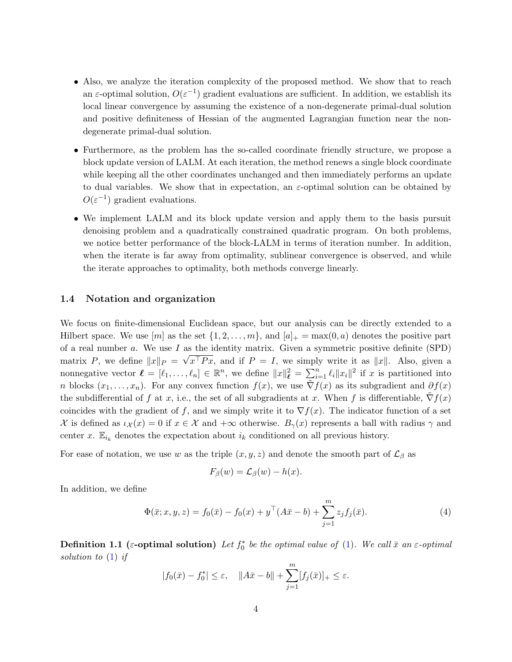- Also, we analyze the iteration complexity of the proposed method. We show that to reach an  $\varepsilon$ -optimal solution,  $O(\varepsilon^{-1})$  gradient evaluations are sufficient. In addition, we establish its local linear convergence by assuming the existence of a non-degenerate primal-dual solution and positive definiteness of Hessian of the augmented Lagrangian function near the nondegenerate primal-dual solution.
- Furthermore, as the problem has the so-called coordinate friendly structure, we propose a block update version of LALM. At each iteration, the method renews a single block coordinate while keeping all the other coordinates unchanged and then immediately performs an update to dual variables. We show that in expectation, an  $\varepsilon$ -optimal solution can be obtained by  $O(\varepsilon^{-1})$  gradient evaluations.
- We implement LALM and its block update version and apply them to the basis pursuit denoising problem and a quadratically constrained quadratic program. On both problems, we notice better performance of the block-LALM in terms of iteration number. In addition, when the iterate is far away from optimality, sublinear convergence is observed, and while the iterate approaches to optimality, both methods converge linearly.

### 1.4 Notation and organization

We focus on finite-dimensional Euclidean space, but our analysis can be directly extended to a Hilbert space. We use  $[m]$  as the set  $\{1, 2, \ldots, m\}$ , and  $[a]_+ = \max(0, a)$  denotes the positive part of a real number a. We use I as the identity matrix. Given a symmetric positive definite (SPD) matrix P, we define  $||x||_P = \sqrt{x^T P x}$ , and if  $P = I$ , we simply write it as  $||x||$ . Also, given a nonnegative vector  $\ell = [\ell_1, \ldots, \ell_n] \in \mathbb{R}^n$ , we define  $||x||_{\ell}^2 = \sum_{i=1}^n \ell_i ||x_i||^2$  if x is partitioned into n blocks  $(x_1, \ldots, x_n)$ . For any convex function  $f(x)$ , we use  $\nabla f(x)$  as its subgradient and  $\partial f(x)$ the subdifferential of f at x, i.e., the set of all subgradients at x. When f is differentiable,  $\nabla f(x)$ coincides with the gradient of f, and we simply write it to  $\nabla f(x)$ . The indicator function of a set X is defined as  $\iota_{\mathcal{X}}(x) = 0$  if  $x \in \mathcal{X}$  and  $+\infty$  otherwise.  $B_{\gamma}(x)$  represents a ball with radius  $\gamma$  and center x.  $\mathbb{E}_{i_k}$  denotes the expectation about  $i_k$  conditioned on all previous history.

For ease of notation, we use w as the triple  $(x, y, z)$  and denote the smooth part of  $\mathcal{L}_{\beta}$  as

$$
F_{\beta}(w) = \mathcal{L}_{\beta}(w) - h(x).
$$

In addition, we define

<span id="page-3-1"></span>
$$
\Phi(\bar{x}; x, y, z) = f_0(\bar{x}) - f_0(x) + y^\top (A\bar{x} - b) + \sum_{j=1}^m z_j f_j(\bar{x}).
$$
\n(4)

<span id="page-3-0"></span>**Definition 1.1** ( $\varepsilon$ -optimal solution) Let  $f_0^*$  be the optimal value of [\(1\)](#page-1-0). We call  $\bar{x}$  an  $\varepsilon$ -optimal solution to [\(1\)](#page-1-0) if

$$
|f_0(\bar{x}) - f_0^*| \le \varepsilon, \quad ||A\bar{x} - b|| + \sum_{j=1}^m [f_j(\bar{x})]_+ \le \varepsilon.
$$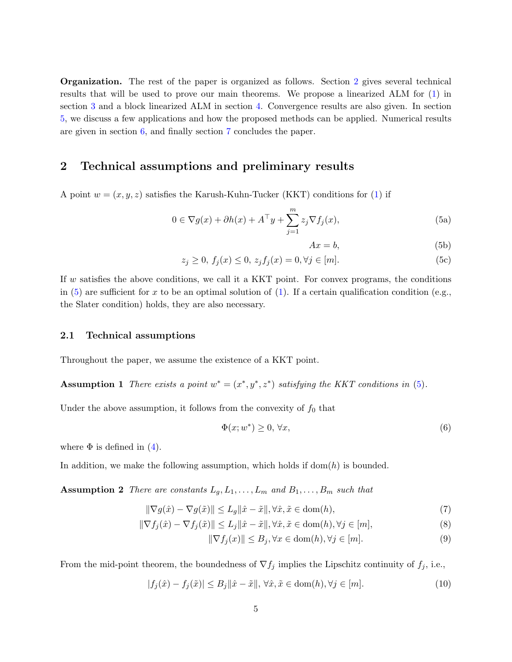Organization. The rest of the paper is organized as follows. Section [2](#page-4-0) gives several technical results that will be used to prove our main theorems. We propose a linearized ALM for [\(1\)](#page-1-0) in section [3](#page-6-0) and a block linearized ALM in section [4.](#page-16-0) Convergence results are also given. In section [5,](#page-22-0) we discuss a few applications and how the proposed methods can be applied. Numerical results are given in section [6,](#page-24-0) and finally section [7](#page-27-6) concludes the paper.

### <span id="page-4-0"></span>2 Technical assumptions and preliminary results

A point  $w = (x, y, z)$  satisfies the Karush-Kuhn-Tucker (KKT) conditions for [\(1\)](#page-1-0) if

$$
0 \in \nabla g(x) + \partial h(x) + A^{\top} y + \sum_{j=1}^{m} z_j \nabla f_j(x), \tag{5a}
$$

<span id="page-4-7"></span><span id="page-4-6"></span><span id="page-4-5"></span><span id="page-4-4"></span><span id="page-4-1"></span>
$$
Ax = b,\tag{5b}
$$

$$
z_j \ge 0, \ f_j(x) \le 0, \ z_j f_j(x) = 0, \forall j \in [m]. \tag{5c}
$$

If  $w$  satisfies the above conditions, we call it a KKT point. For convex programs, the conditions in [\(5\)](#page-4-1) are sufficient for x to be an optimal solution of [\(1\)](#page-1-0). If a certain qualification condition (e.g., the Slater condition) holds, they are also necessary.

### 2.1 Technical assumptions

Throughout the paper, we assume the existence of a KKT point.

Assumption 1 There exists a point  $w^* = (x^*, y^*, z^*)$  satisfying the KKT conditions in [\(5\)](#page-4-1).

Under the above assumption, it follows from the convexity of  $f_0$  that

<span id="page-4-3"></span><span id="page-4-2"></span>
$$
\Phi(x; w^*) \ge 0, \forall x,\tag{6}
$$

where  $\Phi$  is defined in [\(4\)](#page-3-1).

In addition, we make the following assumption, which holds if  $dom(h)$  is bounded.

**Assumption 2** There are constants  $L_g, L_1, \ldots, L_m$  and  $B_1, \ldots, B_m$  such that

$$
\|\nabla g(\hat{x}) - \nabla g(\tilde{x})\| \le L_g \|\hat{x} - \tilde{x}\|, \forall \hat{x}, \tilde{x} \in \text{dom}(h),\tag{7}
$$

$$
\|\nabla f_j(\hat{x}) - \nabla f_j(\tilde{x})\| \le L_j \|\hat{x} - \tilde{x}\|, \forall \hat{x}, \tilde{x} \in \text{dom}(h), \forall j \in [m],
$$
\n(8)

$$
\|\nabla f_j(x)\| \le B_j, \forall x \in \text{dom}(h), \forall j \in [m].\tag{9}
$$

From the mid-point theorem, the boundedness of  $\nabla f_j$  implies the Lipschitz continuity of  $f_j$ , i.e.,

$$
|f_j(\hat{x}) - f_j(\tilde{x})| \le B_j \|\hat{x} - \tilde{x}\|, \forall \hat{x}, \tilde{x} \in \text{dom}(h), \forall j \in [m]. \tag{10}
$$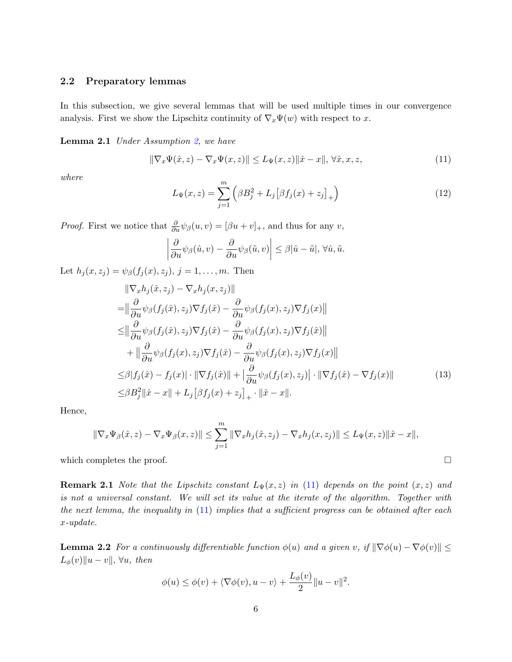### 2.2 Preparatory lemmas

In this subsection, we give several lemmas that will be used multiple times in our convergence analysis. First we show the Lipschitz continuity of  $\nabla_x \Psi(w)$  with respect to x.

Lemma 2.1 Under Assumption [2,](#page-4-2) we have

<span id="page-5-0"></span>
$$
\|\nabla_x \Psi(\hat{x}, z) - \nabla_x \Psi(x, z)\| \le L_\Psi(x, z) \|\hat{x} - x\|, \forall \hat{x}, x, z,
$$
\n(11)

where

<span id="page-5-3"></span><span id="page-5-2"></span>
$$
L_{\Psi}(x,z) = \sum_{j=1}^{m} \left( \beta B_j^2 + L_j \left[ \beta f_j(x) + z_j \right]_+ \right)
$$
 (12)

*Proof.* First we notice that  $\frac{\partial}{\partial u} \psi_{\beta}(u, v) = [\beta u + v]_+$ , and thus for any v,

<span id="page-5-4"></span>
$$
\left|\frac{\partial}{\partial u}\psi_{\beta}(\hat{u},v) - \frac{\partial}{\partial u}\psi_{\beta}(\tilde{u},v)\right| \leq \beta|\hat{u}-\tilde{u}|, \forall \hat{u}, \tilde{u}.
$$

Let  $h_j(x, z_j) = \psi_\beta(f_j(x), z_j), j = 1, ..., m$ . Then

$$
\|\nabla_x h_j(\hat{x}, z_j) - \nabla_x h_j(x, z_j)\| \n= \|\frac{\partial}{\partial u}\psi_\beta(f_j(\hat{x}), z_j)\nabla f_j(\hat{x}) - \frac{\partial}{\partial u}\psi_\beta(f_j(x), z_j)\nabla f_j(x)\| \n\leq \|\frac{\partial}{\partial u}\psi_\beta(f_j(\hat{x}), z_j)\nabla f_j(\hat{x}) - \frac{\partial}{\partial u}\psi_\beta(f_j(x), z_j)\nabla f_j(\hat{x})\| \n+ \|\frac{\partial}{\partial u}\psi_\beta(f_j(x), z_j)\nabla f_j(\hat{x}) - \frac{\partial}{\partial u}\psi_\beta(f_j(x), z_j)\nabla f_j(x)\| \n\leq \beta|f_j(\hat{x}) - f_j(x)| \cdot \|\nabla f_j(\hat{x})\| + \|\frac{\partial}{\partial u}\psi_\beta(f_j(x), z_j)\| \cdot \|\nabla f_j(\hat{x}) - \nabla f_j(x)\| \n\leq \beta B_j^2 \|\hat{x} - x\| + L_j [\beta f_j(x) + z_j]_+ \cdot \|\hat{x} - x\|.
$$
\n(13)

Hence,

$$
\|\nabla_x \Psi_{\beta}(\hat{x}, z) - \nabla_x \Psi_{\beta}(x, z)\| \le \sum_{j=1}^m \|\nabla_x h_j(\hat{x}, z_j) - \nabla_x h_j(x, z_j)\| \le L_\Psi(x, z) \|\hat{x} - x\|,
$$

which completes the proof.  $\Box$ 

**Remark 2.1** Note that the Lipschitz constant  $L_{\Psi}(x, z)$  in [\(11\)](#page-5-0) depends on the point  $(x, z)$  and is not a universal constant. We will set its value at the iterate of the algorithm. Together with the next lemma, the inequality in  $(11)$  implies that a sufficient progress can be obtained after each x-update.

<span id="page-5-1"></span>**Lemma 2.2** For a continuously differentiable function  $\phi(u)$  and a given v, if  $\|\nabla \phi(u) - \nabla \phi(v)\|$  $L_{\phi}(v)$ ||u − v||, ∀u, then

$$
\phi(u) \le \phi(v) + \langle \nabla \phi(v), u - v \rangle + \frac{L_{\phi}(v)}{2} ||u - v||^2.
$$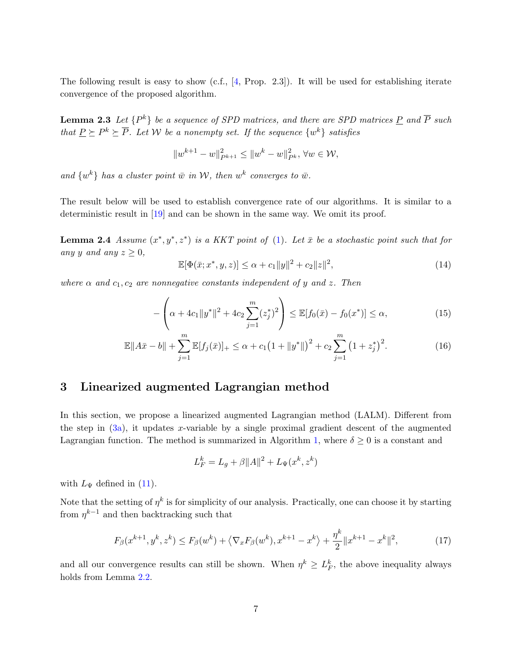<span id="page-6-4"></span>The following result is easy to show (c.f., [\[4,](#page-27-7) Prop. 2.3]). It will be used for establishing iterate convergence of the proposed algorithm.

**Lemma 2.3** Let  $\{P^k\}$  be a sequence of SPD matrices, and there are SPD matrices <u>P</u> and  $\overline{P}$  such that  $\underline{P} \succeq P^k \succeq \overline{P}$ . Let W be a nonempty set. If the sequence  $\{w^k\}$  satisfies

<span id="page-6-1"></span>
$$
||w^{k+1} - w||_{P^{k+1}}^2 \le ||w^k - w||_{P^k}^2, \forall w \in \mathcal{W},
$$

and  $\{w^k\}$  has a cluster point  $\bar{w}$  in W, then  $w^k$  converges to  $\bar{w}$ .

The result below will be used to establish convergence rate of our algorithms. It is similar to a deterministic result in [\[19\]](#page-28-0) and can be shown in the same way. We omit its proof.

**Lemma 2.4** Assume  $(x^*, y^*, z^*)$  is a KKT point of [\(1\)](#page-1-0). Let  $\bar{x}$  be a stochastic point such that for any y and any  $z \geq 0$ ,

<span id="page-6-2"></span>
$$
\mathbb{E}[\Phi(\bar{x}; x^*, y, z)] \le \alpha + c_1 \|y\|^2 + c_2 \|z\|^2,
$$
\n(14)

where  $\alpha$  and  $c_1, c_2$  are nonnegative constants independent of y and z. Then

$$
-\left(\alpha + 4c_1\|y^*\|^2 + 4c_2\sum_{j=1}^m (z_j^*)^2\right) \le \mathbb{E}[f_0(\bar{x}) - f_0(x^*)] \le \alpha,
$$
\n(15)

$$
\mathbb{E}||A\bar{x} - b|| + \sum_{j=1}^{m} \mathbb{E}[f_j(\bar{x})]_+ \leq \alpha + c_1 \left(1 + ||y^*||\right)^2 + c_2 \sum_{j=1}^{m} \left(1 + z_j^*\right)^2. \tag{16}
$$

### <span id="page-6-0"></span>3 Linearized augmented Lagrangian method

In this section, we propose a linearized augmented Lagrangian method (LALM). Different from the step in  $(3a)$ , it updates x-variable by a single proximal gradient descent of the augmented Lagrangian function. The method is summarized in Algorithm [1,](#page-7-0) where  $\delta \geq 0$  is a constant and

$$
L_F^k = L_g + \beta ||A||^2 + L_{\Psi}(x^k, z^k)
$$

with  $L_{\Psi}$  defined in [\(11\)](#page-5-0).

Note that the setting of  $\eta^k$  is for simplicity of our analysis. Practically, one can choose it by starting from  $\eta^{k-1}$  and then backtracking such that

<span id="page-6-3"></span>
$$
F_{\beta}(x^{k+1}, y^k, z^k) \le F_{\beta}(w^k) + \langle \nabla_x F_{\beta}(w^k), x^{k+1} - x^k \rangle + \frac{\eta^k}{2} \|x^{k+1} - x^k\|^2, \tag{17}
$$

and all our convergence results can still be shown. When  $\eta^k \geq L_F^k$ , the above inequality always holds from Lemma [2.2.](#page-5-1)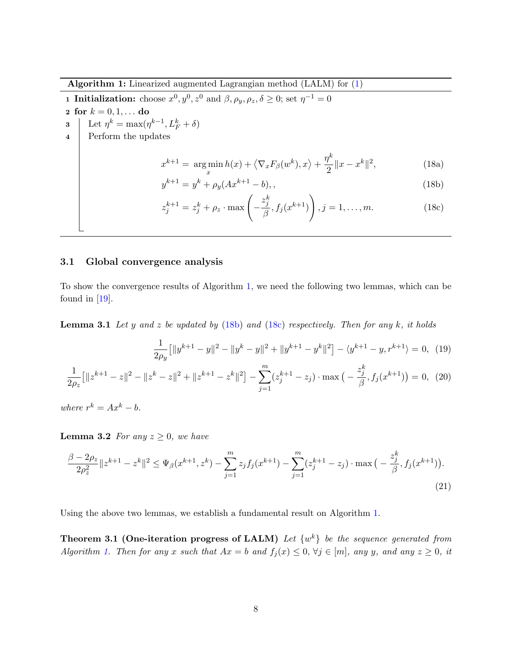<span id="page-7-8"></span>Algorithm 1: Linearized augmented Lagrangian method (LALM) for [\(1\)](#page-1-0)

<span id="page-7-0"></span>**1 Initialization:** choose  $x^0, y^0, z^0$  and  $\beta, \rho_y, \rho_z, \delta \ge 0$ ; set  $\eta^{-1} = 0$ 

- 2 for  $k = 0, 1, ...$  do
- 3 Let  $\eta^k = \max(\eta^{k-1}, L_F^k + \delta)$
- 4 Perform the updates

<span id="page-7-3"></span>
$$
x^{k+1} = \underset{x}{\arg\min} h(x) + \left\langle \nabla_x F_\beta(w^k), x \right\rangle + \frac{\eta^k}{2} \|x - x^k\|^2, \tag{18a}
$$

<span id="page-7-1"></span>
$$
y^{k+1} = y^k + \rho_y(Ax^{k+1} - b), \qquad (18b)
$$

<span id="page-7-2"></span>
$$
z_j^{k+1} = z_j^k + \rho_z \cdot \max\left(-\frac{z_j^k}{\beta}, f_j(x^{k+1})\right), j = 1, \dots, m.
$$
 (18c)

### 3.1 Global convergence analysis

To show the convergence results of Algorithm [1,](#page-7-0) we need the following two lemmas, which can be found in [\[19\]](#page-28-0).

**Lemma 3.1** Let y and z be updated by  $(18b)$  and  $(18c)$  respectively. Then for any k, it holds

<span id="page-7-7"></span><span id="page-7-6"></span><span id="page-7-5"></span><span id="page-7-4"></span>
$$
\frac{1}{2\rho_y} \left[ \|y^{k+1} - y\|^2 - \|y^k - y\|^2 + \|y^{k+1} - y^k\|^2 \right] - \langle y^{k+1} - y, r^{k+1} \rangle = 0, \tag{19}
$$

$$
\frac{1}{2\rho_z} \left[ \|z^{k+1} - z\|^2 - \|z^k - z\|^2 + \|z^{k+1} - z^k\|^2 \right] - \sum_{j=1}^m (z_j^{k+1} - z_j) \cdot \max\left(-\frac{z_j^k}{\beta}, f_j(x^{k+1})\right) = 0, \tag{20}
$$

where  $r^k = Ax^k - b$ .

**Lemma 3.2** For any  $z \geq 0$ , we have

$$
\frac{\beta - 2\rho_z}{2\rho_z^2} \|z^{k+1} - z^k\|^2 \le \Psi_\beta(x^{k+1}, z^k) - \sum_{j=1}^m z_j f_j(x^{k+1}) - \sum_{j=1}^m (z_j^{k+1} - z_j) \cdot \max\left(-\frac{z_j^k}{\beta}, f_j(x^{k+1})\right). \tag{21}
$$

Using the above two lemmas, we establish a fundamental result on Algorithm [1.](#page-7-0)

**Theorem 3.1 (One-iteration progress of LALM)** Let  $\{w^k\}$  be the sequence generated from Algorithm [1.](#page-7-0) Then for any x such that  $Ax = b$  and  $f_j(x) \le 0$ ,  $\forall j \in [m]$ , any y, and any  $z \ge 0$ , it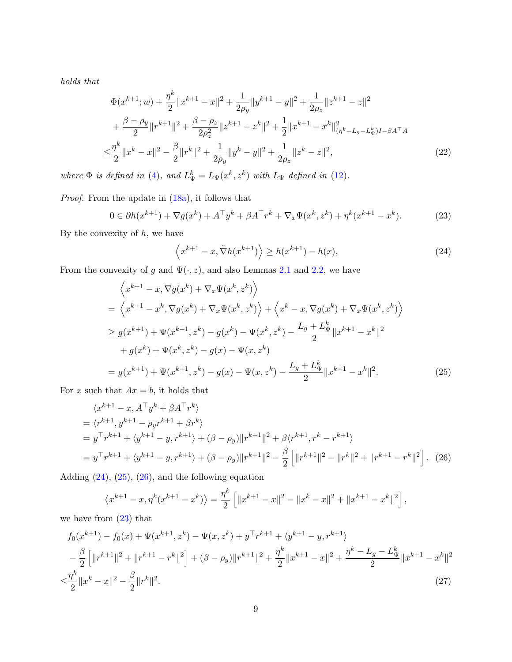holds that

$$
\Phi(x^{k+1};w) + \frac{\eta^k}{2} \|x^{k+1} - x\|^2 + \frac{1}{2\rho_y} \|y^{k+1} - y\|^2 + \frac{1}{2\rho_z} \|z^{k+1} - z\|^2 \n+ \frac{\beta - \rho_y}{2} \|r^{k+1}\|^2 + \frac{\beta - \rho_z}{2\rho_z^2} \|z^{k+1} - z^k\|^2 + \frac{1}{2} \|x^{k+1} - x^k\|^2_{(\eta^k - L_g - L_y^k)I - \beta A^\top A} \n\leq \frac{\eta^k}{2} \|x^k - x\|^2 - \frac{\beta}{2} \|r^k\|^2 + \frac{1}{2\rho_y} \|y^k - y\|^2 + \frac{1}{2\rho_z} \|z^k - z\|^2,
$$
\n(22)

where  $\Phi$  is defined in [\(4\)](#page-3-1), and  $L^k_{\Psi} = L_{\Psi}(x^k, z^k)$  with  $L_{\Psi}$  defined in [\(12\)](#page-5-2).

Proof. From the update in [\(18a\)](#page-7-3), it follows that

<span id="page-8-3"></span>
$$
0 \in \partial h(x^{k+1}) + \nabla g(x^k) + A^{\top} y^k + \beta A^{\top} r^k + \nabla_x \Psi(x^k, z^k) + \eta^k (x^{k+1} - x^k). \tag{23}
$$

By the convexity of  $h$ , we have

<span id="page-8-4"></span><span id="page-8-2"></span><span id="page-8-1"></span><span id="page-8-0"></span>
$$
\left\langle x^{k+1} - x, \tilde{\nabla}h(x^{k+1}) \right\rangle \ge h(x^{k+1}) - h(x),\tag{24}
$$

From the convexity of g and  $\Psi(\cdot, z)$ , and also Lemmas [2.1](#page-5-3) and [2.2,](#page-5-1) we have

$$
\left\langle x^{k+1} - x, \nabla g(x^k) + \nabla_x \Psi(x^k, z^k) \right\rangle
$$
  
=  $\left\langle x^{k+1} - x^k, \nabla g(x^k) + \nabla_x \Psi(x^k, z^k) \right\rangle + \left\langle x^k - x, \nabla g(x^k) + \nabla_x \Psi(x^k, z^k) \right\rangle$   
 $\geq g(x^{k+1}) + \Psi(x^{k+1}, z^k) - g(x^k) - \Psi(x^k, z^k) - \frac{L_g + L_{\Psi}^k}{2} ||x^{k+1} - x^k||^2$   
+  $g(x^k) + \Psi(x^k, z^k) - g(x) - \Psi(x, z^k)$   
=  $g(x^{k+1}) + \Psi(x^{k+1}, z^k) - g(x) - \Psi(x, z^k) - \frac{L_g + L_{\Psi}^k}{2} ||x^{k+1} - x^k||^2.$  (25)

For x such that  $Ax = b$ , it holds that

$$
\langle x^{k+1} - x, A^{\top} y^k + \beta A^{\top} r^k \rangle
$$
  
=  $\langle r^{k+1}, y^{k+1} - \rho_y r^{k+1} + \beta r^k \rangle$   
=  $y^{\top} r^{k+1} + \langle y^{k+1} - y, r^{k+1} \rangle + (\beta - \rho_y) ||r^{k+1}||^2 + \beta \langle r^{k+1}, r^k - r^{k+1} \rangle$   
=  $y^{\top} r^{k+1} + \langle y^{k+1} - y, r^{k+1} \rangle + (\beta - \rho_y) ||r^{k+1}||^2 - \frac{\beta}{2} [||r^{k+1}||^2 - ||r^k||^2 + ||r^{k+1} - r^k||^2].$  (26)

Adding  $(24)$ ,  $(25)$ ,  $(26)$ , and the following equation

<span id="page-8-5"></span>
$$
\left\langle x^{k+1} - x, \eta^k (x^{k+1} - x^k) \right\rangle = \frac{\eta^k}{2} \left[ \|x^{k+1} - x\|^2 - \|x^k - x\|^2 + \|x^{k+1} - x^k\|^2 \right],
$$

we have from [\(23\)](#page-8-3) that

$$
f_0(x^{k+1}) - f_0(x) + \Psi(x^{k+1}, z^k) - \Psi(x, z^k) + y^\top r^{k+1} + \langle y^{k+1} - y, r^{k+1} \rangle
$$
  
\n
$$
- \frac{\beta}{2} \left[ \|r^{k+1}\|^2 + \|r^{k+1} - r^k\|^2 \right] + (\beta - \rho_y) \|r^{k+1}\|^2 + \frac{\eta^k}{2} \|x^{k+1} - x\|^2 + \frac{\eta^k - L_g - L_\Psi^k}{2} \|x^{k+1} - x^k\|^2
$$
  
\n
$$
\leq \frac{\eta^k}{2} \|x^k - x\|^2 - \frac{\beta}{2} \|r^k\|^2.
$$
\n(27)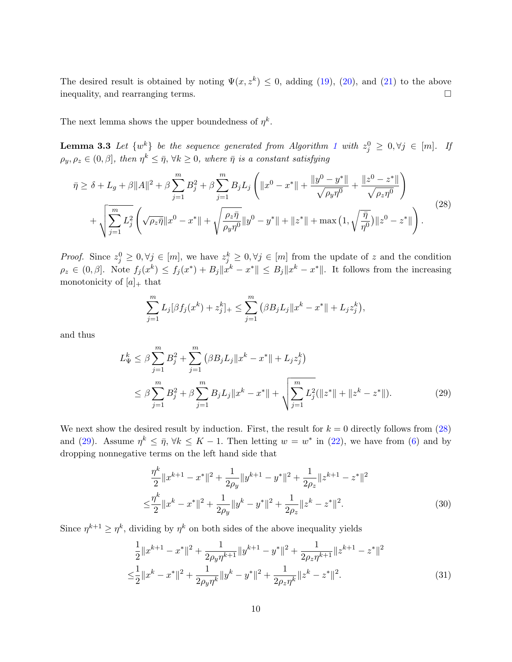The desired result is obtained by noting  $\Psi(x, z^k) \leq 0$ , adding [\(19\)](#page-7-4), [\(20\)](#page-7-5), and [\(21\)](#page-7-6) to the above inequality, and rearranging terms.

The next lemma shows the upper boundedness of  $\eta^k$ .

**Lemma 3.3** Let  $\{w^k\}$  be the sequence generated from Algorithm [1](#page-7-0) with  $z_j^0 \geq 0, \forall j \in [m]$ . If  $\rho_y, \rho_z \in (0, \beta],$  then  $\eta^k \leq \bar{\eta}, \forall k \geq 0$ , where  $\bar{\eta}$  is a constant satisfying

<span id="page-9-4"></span><span id="page-9-0"></span>
$$
\bar{\eta} \ge \delta + L_g + \beta \|A\|^2 + \beta \sum_{j=1}^m B_j^2 + \beta \sum_{j=1}^m B_j L_j \left( \|x^0 - x^*\| + \frac{\|y^0 - y^*\|}{\sqrt{\rho_y \eta^0}} + \frac{\|z^0 - z^*\|}{\sqrt{\rho_z \eta^0}} \right) + \sqrt{\sum_{j=1}^m L_j^2} \left( \sqrt{\rho_z \bar{\eta}} \|x^0 - x^*\| + \sqrt{\frac{\rho_z \bar{\eta}}{\rho_y \eta^0}} \|y^0 - y^*\| + \|z^*\| + \max\left(1, \sqrt{\frac{\bar{\eta}}{\eta^0}}\right) \|z^0 - z^*\|\right). \tag{28}
$$

*Proof.* Since  $z_j^0 \geq 0, \forall j \in [m]$ , we have  $z_j^k \geq 0, \forall j \in [m]$  from the update of z and the condition  $\rho_z \in (0,\beta]$ . Note  $f_j(x^k) \leq f_j(x^*) + B_j \|x^k - x^*\| \leq B_j \|x^k - x^*\|$ . It follows from the increasing monotonicity of  $[a]_+$  that

<span id="page-9-1"></span>
$$
\sum_{j=1}^{m} L_j[\beta f_j(x^k) + z_j^k]_{+} \leq \sum_{j=1}^{m} (\beta B_j L_j \|x^k - x^*\| + L_j z_j^k),
$$

and thus

$$
L_{\Psi}^{k} \leq \beta \sum_{j=1}^{m} B_{j}^{2} + \sum_{j=1}^{m} (\beta B_{j} L_{j} \|x^{k} - x^{*}\| + L_{j} z_{j}^{k})
$$
  

$$
\leq \beta \sum_{j=1}^{m} B_{j}^{2} + \beta \sum_{j=1}^{m} B_{j} L_{j} \|x^{k} - x^{*}\| + \sqrt{\sum_{j=1}^{m} L_{j}^{2} (\|z^{*}\| + \|z^{k} - z^{*}\|)}.
$$
 (29)

We next show the desired result by induction. First, the result for  $k = 0$  directly follows from  $(28)$ and [\(29\)](#page-9-1). Assume  $\eta^k \leq \bar{\eta}, \forall k \leq K-1$ . Then letting  $w = w^*$  in [\(22\)](#page-8-4), we have from [\(6\)](#page-4-3) and by dropping nonnegative terms on the left hand side that

<span id="page-9-3"></span><span id="page-9-2"></span>
$$
\frac{\eta^k}{2} \|x^{k+1} - x^*\|^2 + \frac{1}{2\rho_y} \|y^{k+1} - y^*\|^2 + \frac{1}{2\rho_z} \|z^{k+1} - z^*\|^2
$$
  

$$
\leq \frac{\eta^k}{2} \|x^k - x^*\|^2 + \frac{1}{2\rho_y} \|y^k - y^*\|^2 + \frac{1}{2\rho_z} \|z^k - z^*\|^2.
$$
 (30)

Since  $\eta^{k+1} \geq \eta^k$ , dividing by  $\eta^k$  on both sides of the above inequality yields

$$
\frac{1}{2}||x^{k+1} - x^*||^2 + \frac{1}{2\rho_y \eta^{k+1}}||y^{k+1} - y^*||^2 + \frac{1}{2\rho_z \eta^{k+1}}||z^{k+1} - z^*||^2
$$
  

$$
\leq \frac{1}{2}||x^k - x^*||^2 + \frac{1}{2\rho_y \eta^k}||y^k - y^*||^2 + \frac{1}{2\rho_z \eta^k}||z^k - z^*||^2.
$$
 (31)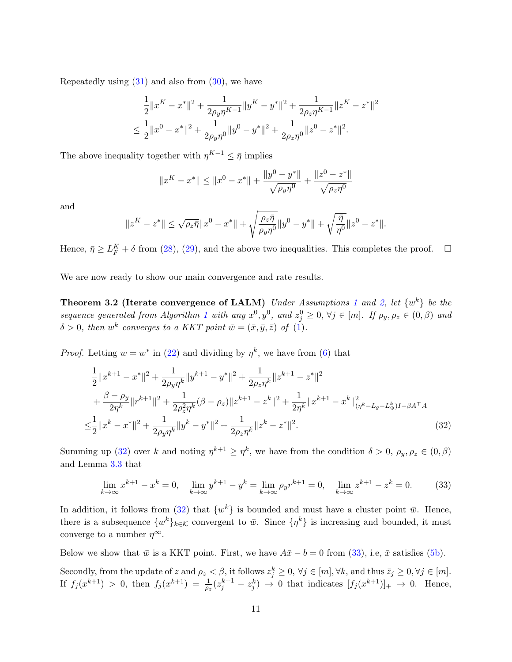Repeatedly using  $(31)$  and also from  $(30)$ , we have

$$
\frac{1}{2}||x^{K} - x^{*}||^{2} + \frac{1}{2\rho_{y}\eta^{K-1}}||y^{K} - y^{*}||^{2} + \frac{1}{2\rho_{z}\eta^{K-1}}||z^{K} - z^{*}||^{2}
$$
  

$$
\leq \frac{1}{2}||x^{0} - x^{*}||^{2} + \frac{1}{2\rho_{y}\eta^{0}}||y^{0} - y^{*}||^{2} + \frac{1}{2\rho_{z}\eta^{0}}||z^{0} - z^{*}||^{2}.
$$

The above inequality together with  $\eta^{K-1} \leq \bar{\eta}$  implies

<span id="page-10-2"></span>
$$
||x^{K} - x^{*}|| \le ||x^{0} - x^{*}|| + \frac{||y^{0} - y^{*}||}{\sqrt{\rho_{y}\eta^{0}}} + \frac{||z^{0} - z^{*}||}{\sqrt{\rho_{z}\eta^{0}}}
$$

and

$$
\|z^{K}-z^*\|\leq \sqrt{\rho_z\bar{\eta}}\|x^0-x^*\|+\sqrt{\frac{\rho_z\bar{\eta}}{\rho_y\eta^0}}\|y^0-y^*\|+\sqrt{\frac{\bar{\eta}}{\eta^0}}\|z^0-z^*\|.
$$

Hence,  $\bar{\eta} \ge L_F^K + \delta$  from [\(28\)](#page-9-0), [\(29\)](#page-9-1), and the above two inequalities. This completes the proof.  $\Box$ 

We are now ready to show our main convergence and rate results.

**Theorem 3.2 (Iterate convergence of LALM)** Under Assumptions [1](#page-4-4) and [2,](#page-4-2) let  $\{w^k\}$  be the sequence generated from Algorithm [1](#page-7-0) with any  $x^0, y^0$ , and  $z_j^0 \geq 0$ ,  $\forall j \in [m]$ . If  $\rho_y, \rho_z \in (0, \beta)$  and  $\delta > 0$ , then w<sup>k</sup> converges to a KKT point  $\bar{w} = (\bar{x}, \bar{y}, \bar{z})$  of [\(1\)](#page-1-0).

*Proof.* Letting  $w = w^*$  in [\(22\)](#page-8-4) and dividing by  $\eta^k$ , we have from [\(6\)](#page-4-3) that

$$
\frac{1}{2}||x^{k+1} - x^*||^2 + \frac{1}{2\rho_y \eta^k} ||y^{k+1} - y^*||^2 + \frac{1}{2\rho_z \eta^k} ||z^{k+1} - z^*||^2 \n+ \frac{\beta - \rho_y}{2\eta^k} ||r^{k+1}||^2 + \frac{1}{2\rho_z^2 \eta^k} (\beta - \rho_z) ||z^{k+1} - z^k||^2 + \frac{1}{2\eta^k} ||x^{k+1} - x^k||_{(\eta^k - L_g - L^k_\Psi)I - \beta A^\top A}^2 \n\leq \frac{1}{2} ||x^k - x^*||^2 + \frac{1}{2\rho_y \eta^k} ||y^k - y^*||^2 + \frac{1}{2\rho_z \eta^k} ||z^k - z^*||^2.
$$
\n(32)

Summing up [\(32\)](#page-10-0) over k and noting  $\eta^{k+1} \geq \eta^k$ , we have from the condition  $\delta > 0$ ,  $\rho_y, \rho_z \in (0, \beta)$ and Lemma [3.3](#page-9-4) that

<span id="page-10-1"></span><span id="page-10-0"></span>
$$
\lim_{k \to \infty} x^{k+1} - x^k = 0, \quad \lim_{k \to \infty} y^{k+1} - y^k = \lim_{k \to \infty} \rho_y r^{k+1} = 0, \quad \lim_{k \to \infty} z^{k+1} - z^k = 0. \tag{33}
$$

In addition, it follows from [\(32\)](#page-10-0) that  $\{w^k\}$  is bounded and must have a cluster point  $\bar{w}$ . Hence, there is a subsequence  $\{w^k\}_{k\in\mathcal{K}}$  convergent to  $\bar{w}$ . Since  $\{\eta^k\}$  is increasing and bounded, it must converge to a number  $\eta^{\infty}$ .

Below we show that  $\bar{w}$  is a KKT point. First, we have  $A\bar{x} - b = 0$  from [\(33\)](#page-10-1), i.e,  $\bar{x}$  satisfies [\(5b\)](#page-4-5).

Secondly, from the update of z and  $\rho_z < \beta$ , it follows  $z_j^k \geq 0$ ,  $\forall j \in [m]$ ,  $\forall k$ , and thus  $\bar{z}_j \geq 0$ ,  $\forall j \in [m]$ . If  $f_j(x^{k+1}) > 0$ , then  $f_j(x^{k+1}) = \frac{1}{\rho_z}(z_j^{k+1} - z_j^k) \to 0$  that indicates  $[f_j(x^{k+1})]_+ \to 0$ . Hence,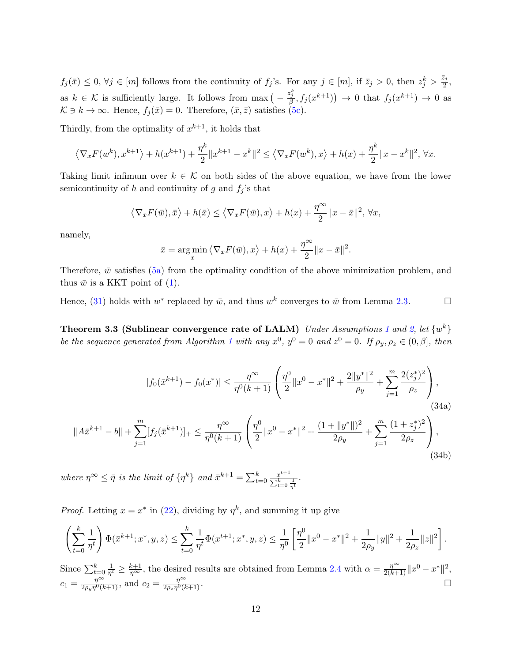$f_j(\bar{x}) \leq 0, \forall j \in [m]$  follows from the continuity of  $f_j$ 's. For any  $j \in [m]$ , if  $\bar{z}_j > 0$ , then  $z_j^k > \frac{\bar{z}_j}{2}$  $\frac{z_j}{2},$ as  $k \in \mathcal{K}$  is sufficiently large. It follows from  $\max\left(-\frac{z_j^k}{\beta}, f_j(x^{k+1})\right) \to 0$  that  $f_j(x^{k+1}) \to 0$  as  $K \ni k \to \infty$ . Hence,  $f_i(\bar{x}) = 0$ . Therefore,  $(\bar{x}, \bar{z})$  satisfies [\(5c\)](#page-4-6).

Thirdly, from the optimality of  $x^{k+1}$ , it holds that

$$
\left\langle \nabla_x F(w^k), x^{k+1} \right\rangle + h(x^{k+1}) + \frac{\eta^k}{2} \|x^{k+1} - x^k\|^2 \le \left\langle \nabla_x F(w^k), x \right\rangle + h(x) + \frac{\eta^k}{2} \|x - x^k\|^2, \forall x.
$$

Taking limit infimum over  $k \in \mathcal{K}$  on both sides of the above equation, we have from the lower semicontinuity of h and continuity of g and  $f_i$ 's that

$$
\left\langle \nabla_x F(\bar{w}), \bar{x} \right\rangle + h(\bar{x}) \le \left\langle \nabla_x F(\bar{w}), x \right\rangle + h(x) + \frac{\eta^{\infty}}{2} \|x - \bar{x}\|^2, \forall x,
$$

namely,

$$
\bar{x} = \underset{x}{\arg\min} \left\langle \nabla_x F(\bar{w}), x \right\rangle + h(x) + \frac{\eta^{\infty}}{2} \|x - \bar{x}\|^2.
$$

Therefore,  $\bar{w}$  satisfies [\(5a\)](#page-4-7) from the optimality condition of the above minimization problem, and thus  $\bar{w}$  is a KKT point of [\(1\)](#page-1-0).

Hence, [\(31\)](#page-9-2) holds with  $w^*$  replaced by  $\bar{w}$ , and thus  $w^k$  converges to  $\bar{w}$  from Lemma [2.3.](#page-6-1)

<span id="page-11-1"></span><span id="page-11-0"></span>Theorem 3.3 (Sublinear convergence rate of LALM) Under Assumptions [1](#page-4-4) and [2,](#page-4-2) let  $\{w^k\}$ be the sequence generated from Algorithm [1](#page-7-0) with any  $x^0$ ,  $y^0 = 0$  and  $z^0 = 0$ . If  $\rho_y$ ,  $\rho_z \in (0, \beta]$ , then

$$
|f_0(\bar{x}^{k+1}) - f_0(x^*)| \le \frac{\eta^{\infty}}{\eta^0(k+1)} \left(\frac{\eta^0}{2} \|x^0 - x^*\|^2 + \frac{2\|y^*\|^2}{\rho_y} + \sum_{j=1}^m \frac{2(z_j^*)^2}{\rho_z}\right),
$$
\n(34a)\n
$$
||A\bar{x}^{k+1} - b|| + \sum_{j=1}^m [f_j(\bar{x}^{k+1})]_+ \le \frac{\eta^{\infty}}{\eta^0(k+1)} \left(\frac{\eta^0}{2} \|x^0 - x^*\|^2 + \frac{(1 + \|y^*\|)^2}{2\rho_y} + \sum_{j=1}^m \frac{(1 + z_j^*)^2}{2\rho_z}\right),
$$
\n(34b)

where  $\eta^{\infty} \leq \bar{\eta}$  is the limit of  $\{\eta^k\}$  and  $\bar{x}^{k+1} = \sum_{t=0}^k \frac{x^{t+1}}{\sum_{k=0}^k x^{t+1}}$  $\sum_{t=0}^k \frac{1}{\eta^t}$ .

*Proof.* Letting  $x = x^*$  in [\(22\)](#page-8-4), dividing by  $\eta^k$ , and summing it up give

$$
\left(\sum_{t=0}^k \frac{1}{\eta^t}\right) \Phi(\bar{x}^{k+1}; x^*, y, z) \le \sum_{t=0}^k \frac{1}{\eta^t} \Phi(x^{t+1}; x^*, y, z) \le \frac{1}{\eta^0} \left[\frac{\eta^0}{2} \|x^0 - x^*\|^2 + \frac{1}{2\rho_y} \|y\|^2 + \frac{1}{2\rho_z} \|z\|^2\right].
$$

Since  $\sum_{t=0}^{k} \frac{1}{\eta^i}$  $\frac{1}{\eta^t} \geq \frac{k+1}{\eta^{\infty}}$ , the desired results are obtained from Lemma [2.4](#page-6-2) with  $\alpha = \frac{\eta^{\infty}}{2(k+1)} ||x^0 - x^*||^2$ ,  $c_1 = \frac{\eta^{\infty}}{2 a_{\infty} n^0 (l)}$  $\frac{\eta^{\infty}}{2\rho_y \eta^0(k+1)}$ , and  $c_2 = \frac{\eta^{\infty}}{2\rho_z \eta^0(k+1)}$  $\frac{\eta^{\infty}}{2\rho_z\eta^0(k+1)}$ .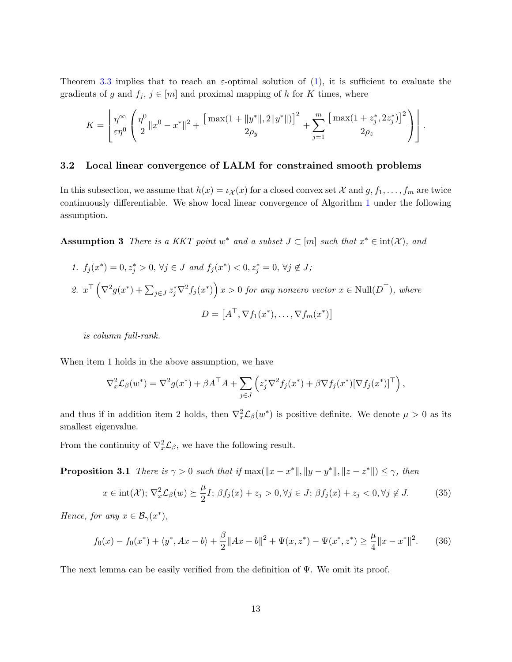Theorem [3.3](#page-11-0) implies that to reach an  $\varepsilon$ -optimal solution of [\(1\)](#page-1-0), it is sufficient to evaluate the gradients of g and  $f_j, j \in [m]$  and proximal mapping of h for K times, where

$$
K = \left[ \frac{\eta^{\infty}}{\varepsilon \eta^{0}} \left( \frac{\eta^{0}}{2} \|x^{0} - x^{*}\|^{2} + \frac{\left[\max(1 + \|y^{*}\|, 2\|y^{*}\|)\right]^{2}}{2\rho_{y}} + \sum_{j=1}^{m} \frac{\left[\max(1 + z^{*}_{j}, 2z^{*}_{j})\right]^{2}}{2\rho_{z}} \right) \right].
$$

#### <span id="page-12-4"></span>3.2 Local linear convergence of LALM for constrained smooth problems

<span id="page-12-3"></span>In this subsection, we assume that  $h(x) = \iota_{\mathcal{X}}(x)$  for a closed convex set X and  $g, f_1, \ldots, f_m$  are twice continuously differentiable. We show local linear convergence of Algorithm [1](#page-7-0) under the following assumption.

Assumption 3 There is a KKT point w<sup>\*</sup> and a subset  $J \subset [m]$  such that  $x^* \in \text{int}(\mathcal{X})$ , and

\n- 1. 
$$
f_j(x^*) = 0, z_j^* > 0, \forall j \in J
$$
 and  $f_j(x^*) < 0, z_j^* = 0, \forall j \notin J$ ;
\n- 2.  $x^\top \left( \nabla^2 g(x^*) + \sum_{j \in J} z_j^* \nabla^2 f_j(x^*) \right) x > 0$  for any nonzero vector  $x \in \text{Null}(D^\top)$ , where  $D = [A^\top, \nabla f_1(x^*), \ldots, \nabla f_m(x^*)]$
\n

is column full-rank.

When item 1 holds in the above assumption, we have

$$
\nabla_x^2 \mathcal{L}_{\beta}(w^*) = \nabla^2 g(x^*) + \beta A^\top A + \sum_{j \in J} \left( z_j^* \nabla^2 f_j(x^*) + \beta \nabla f_j(x^*) [\nabla f_j(x^*)]^\top \right),
$$

and thus if in addition item 2 holds, then  $\nabla_x^2 \mathcal{L}_\beta(w^*)$  is positive definite. We denote  $\mu > 0$  as its smallest eigenvalue.

From the continuity of  $\nabla_x^2 \mathcal{L}_{\beta}$ , we have the following result.

**Proposition 3.1** There is  $\gamma > 0$  such that if  $\max(||x - x^*||, ||y - y^*||, ||z - z^*||) \leq \gamma$ , then

<span id="page-12-1"></span><span id="page-12-0"></span>
$$
x \in \text{int}(\mathcal{X}); \nabla_x^2 \mathcal{L}_{\beta}(w) \succeq \frac{\mu}{2} I; \ \beta f_j(x) + z_j > 0, \forall j \in J; \ \beta f_j(x) + z_j < 0, \forall j \notin J. \tag{35}
$$

Hence, for any  $x \in \mathcal{B}_{\gamma}(x^*),$ 

<span id="page-12-2"></span>
$$
f_0(x) - f_0(x^*) + \langle y^*, Ax - b \rangle + \frac{\beta}{2} \|Ax - b\|^2 + \Psi(x, z^*) - \Psi(x^*, z^*) \ge \frac{\mu}{4} \|x - x^*\|^2. \tag{36}
$$

The next lemma can be easily verified from the definition of  $\Psi$ . We omit its proof.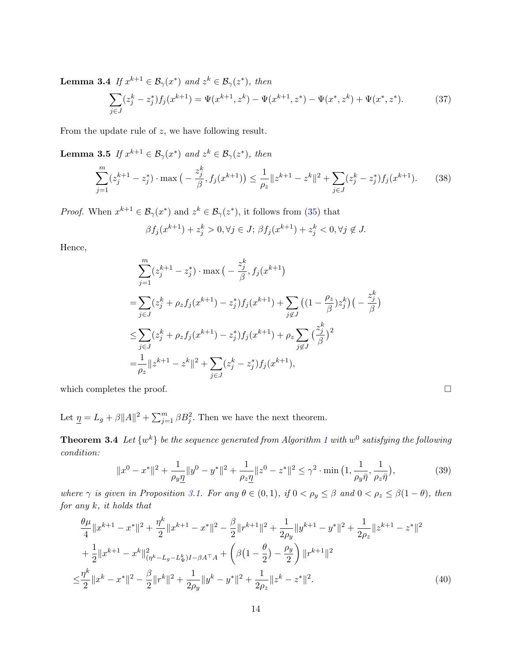**Lemma 3.4** If  $x^{k+1} \in \mathcal{B}_{\gamma}(x^*)$  and  $z^k \in \mathcal{B}_{\gamma}(z^*)$ , then

<span id="page-13-1"></span>
$$
\sum_{j \in J} (z_j^k - z_j^*) f_j(x^{k+1}) = \Psi(x^{k+1}, z^k) - \Psi(x^{k+1}, z^*) - \Psi(x^*, z^k) + \Psi(x^*, z^*).
$$
 (37)

From the update rule of z, we have following result.

**Lemma 3.5** If  $x^{k+1} \in \mathcal{B}_{\gamma}(x^*)$  and  $z^k \in \mathcal{B}_{\gamma}(z^*)$ , then

<span id="page-13-2"></span>
$$
\sum_{j=1}^{m} (z_j^{k+1} - z_j^*) \cdot \max\left(-\frac{z_j^k}{\beta}, f_j(x^{k+1})\right) \le \frac{1}{\rho_z} \|z^{k+1} - z^k\|^2 + \sum_{j \in J} (z_j^k - z_j^*) f_j(x^{k+1}).\tag{38}
$$

*Proof.* When  $x^{k+1} \in \mathcal{B}_{\gamma}(x^*)$  and  $z^k \in \mathcal{B}_{\gamma}(z^*)$ , it follows from [\(35\)](#page-12-0) that

$$
\beta f_j(x^{k+1}) + z_j^k > 0, \forall j \in J; \beta f_j(x^{k+1}) + z_j^k < 0, \forall j \notin J.
$$

Hence,

$$
\sum_{j=1}^{m} (z_j^{k+1} - z_j^*) \cdot \max\left(-\frac{z_j^k}{\beta}, f_j(x^{k+1})\right)
$$
\n
$$
= \sum_{j \in J} (z_j^k + \rho_z f_j(x^{k+1}) - z_j^*) f_j(x^{k+1}) + \sum_{j \notin J} \left((1 - \frac{\rho_z}{\beta}) z_j^k\right) \left(-\frac{z_j^k}{\beta}\right)
$$
\n
$$
\leq \sum_{j \in J} (z_j^k + \rho_z f_j(x^{k+1}) - z_j^*) f_j(x^{k+1}) + \rho_z \sum_{j \notin J} \left(\frac{z_j^k}{\beta}\right)^2
$$
\n
$$
= \frac{1}{\rho_z} \|z^{k+1} - z^k\|^2 + \sum_{j \in J} (z_j^k - z_j^*) f_j(x^{k+1}),
$$

which completes the proof.  $\Box$ 

Let  $\underline{\eta} = L_g + \beta ||A||^2 + \sum_{j=1}^m \beta B_j^2$ . Then we have the next theorem.

**Theorem 3.4** Let  $\{w^k\}$  be the sequence generated from Algorithm [1](#page-7-0) with  $w^0$  satisfying the following condition:

<span id="page-13-4"></span><span id="page-13-3"></span><span id="page-13-0"></span>
$$
||x^{0} - x^{*}||^{2} + \frac{1}{\rho_{y}\underline{\eta}}||y^{0} - y^{*}||^{2} + \frac{1}{\rho_{z}\underline{\eta}}||z^{0} - z^{*}||^{2} \leq \gamma^{2} \cdot \min\left(1, \frac{1}{\rho_{y}\bar{\eta}}, \frac{1}{\rho_{z}\bar{\eta}}\right),
$$
\n(39)

where  $\gamma$  is given in Proposition [3.1.](#page-12-1) For any  $\theta \in (0,1)$ , if  $0 < \rho_y \leq \beta$  and  $0 < \rho_z \leq \beta(1-\theta)$ , then for any  $k$ , it holds that

$$
\frac{\theta\mu}{4}||x^{k+1} - x^*||^2 + \frac{\eta^k}{2}||x^{k+1} - x^*||^2 - \frac{\beta}{2}||r^{k+1}||^2 + \frac{1}{2\rho_y}||y^{k+1} - y^*||^2 + \frac{1}{2\rho_z}||z^{k+1} - z^*||^2
$$
  
+ 
$$
\frac{1}{2}||x^{k+1} - x^k||_{(\eta^k - L_g - L_\Psi^k)I - \beta A^\top A}^2 + \left(\beta(1 - \frac{\theta}{2}) - \frac{\rho_y}{2}\right)||r^{k+1}||^2
$$
  

$$
\leq \frac{\eta^k}{2}||x^k - x^*||^2 - \frac{\beta}{2}||r^k||^2 + \frac{1}{2\rho_y}||y^k - y^*||^2 + \frac{1}{2\rho_z}||z^k - z^*||^2.
$$
 (40)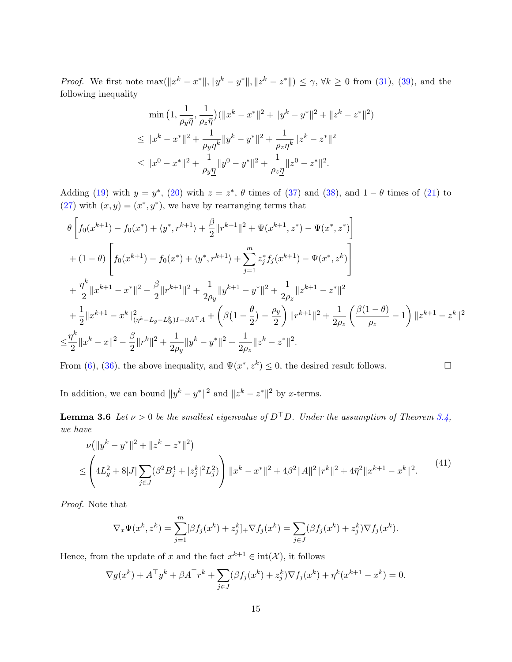*Proof.* We first note  $\max(\|x^{k}-x^{*}\|, \|y^{k}-y^{*}\|, \|z^{k}-z^{*}\|) \leq \gamma, \forall k \geq 0$  from [\(31\)](#page-9-2), [\(39\)](#page-13-0), and the following inequality

$$
\min\left(1, \frac{1}{\rho_y \bar{\eta}}, \frac{1}{\rho_z \bar{\eta}}\right) (\|x^k - x^*\|^2 + \|y^k - y^*\|^2 + \|z^k - z^*\|^2)
$$
  
\n
$$
\leq \|x^k - x^*\|^2 + \frac{1}{\rho_y \eta^k} \|y^k - y^*\|^2 + \frac{1}{\rho_z \eta^k} \|z^k - z^*\|^2
$$
  
\n
$$
\leq \|x^0 - x^*\|^2 + \frac{1}{\rho_y \eta} \|y^0 - y^*\|^2 + \frac{1}{\rho_z \eta} \|z^0 - z^*\|^2.
$$

Adding [\(19\)](#page-7-4) with  $y = y^*$ , [\(20\)](#page-7-5) with  $z = z^*$ ,  $\theta$  times of [\(37\)](#page-13-1) and [\(38\)](#page-13-2), and  $1 - \theta$  times of [\(21\)](#page-7-6) to  $(27)$  with  $(x, y) = (x^*, y^*)$ , we have by rearranging terms that

$$
\theta \left[ f_0(x^{k+1}) - f_0(x^*) + \langle y^*, r^{k+1} \rangle + \frac{\beta}{2} ||r^{k+1}||^2 + \Psi(x^{k+1}, z^*) - \Psi(x^*, z^*) \right]
$$
  
+ 
$$
(1 - \theta) \left[ f_0(x^{k+1}) - f_0(x^*) + \langle y^*, r^{k+1} \rangle + \sum_{j=1}^m z_j^* f_j(x^{k+1}) - \Psi(x^*, z^k) \right]
$$
  
+ 
$$
\frac{\eta^k}{2} ||x^{k+1} - x^*||^2 - \frac{\beta}{2} ||r^{k+1}||^2 + \frac{1}{2\rho_y} ||y^{k+1} - y^*||^2 + \frac{1}{2\rho_z} ||z^{k+1} - z^*||^2
$$
  
+ 
$$
\frac{1}{2} ||x^{k+1} - x^k||_{(\eta^k - L_g - L_y^k)I - \beta A^\top A}^2 + \left( \beta (1 - \frac{\theta}{2}) - \frac{\rho_y}{2} \right) ||r^{k+1}||^2 + \frac{1}{2\rho_z} \left( \frac{\beta (1 - \theta)}{\rho_z} - 1 \right) ||z^{k+1} - z^k||^2
$$
  

$$
\leq \frac{\eta^k}{2} ||x^k - x||^2 - \frac{\beta}{2} ||r^k||^2 + \frac{1}{2\rho_y} ||y^k - y^*||^2 + \frac{1}{2\rho_z} ||z^k - z^*||^2.
$$

From [\(6\)](#page-4-3), [\(36\)](#page-12-2), the above inequality, and  $\Psi(x^*, z^k) \leq 0$ , the desired result follows.

In addition, we can bound  $||y^k - y^*||^2$  and  $||z^k - z^*||^2$  by x-terms.

**Lemma 3.6** Let  $\nu > 0$  be the smallest eigenvalue of  $D^{\top}D$ . Under the assumption of Theorem [3.4,](#page-13-3) we have

<span id="page-14-0"></span>
$$
\nu(||y^k - y^*||^2 + ||z^k - z^*||^2)
$$
  
\n
$$
\leq \left(4L_g^2 + 8|J|\sum_{j\in J} (\beta^2 B_j^4 + |z_j^k|^2 L_j^2) \right) ||x^k - x^*||^2 + 4\beta^2 ||A||^2 ||r^k||^2 + 4\overline{\eta}^2 ||x^{k+1} - x^k||^2. \tag{41}
$$

Proof. Note that

$$
\nabla_x \Psi(x^k, z^k) = \sum_{j=1}^m [\beta f_j(x^k) + z_j^k]_+ \nabla f_j(x^k) = \sum_{j \in J} (\beta f_j(x^k) + z_j^k) \nabla f_j(x^k).
$$

Hence, from the update of x and the fact  $x^{k+1} \in \text{int}(\mathcal{X})$ , it follows

$$
\nabla g(x^k) + A^{\top} y^k + \beta A^{\top} r^k + \sum_{j \in J} (\beta f_j(x^k) + z_j^k) \nabla f_j(x^k) + \eta^k (x^{k+1} - x^k) = 0.
$$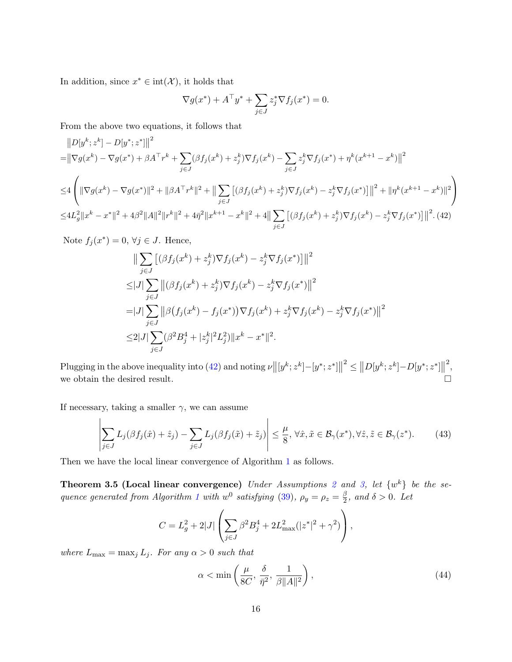In addition, since  $x^* \in \text{int}(\mathcal{X})$ , it holds that

<span id="page-15-0"></span>
$$
\nabla g(x^*) + A^\top y^* + \sum_{j \in J} z_j^* \nabla f_j(x^*) = 0.
$$

From the above two equations, it follows that

$$
\|D[y^k; z^k] - D[y^*; z^*]\|^2
$$
  
\n= $\|\nabla g(x^k) - \nabla g(x^*) + \beta A^\top r^k + \sum_{j \in J} (\beta f_j(x^k) + z_j^k) \nabla f_j(x^k) - \sum_{j \in J} z_j^k \nabla f_j(x^*) + \eta^k (x^{k+1} - x^k) \|^2$   
\n $\leq 4 \left( \|\nabla g(x^k) - \nabla g(x^*)\|^2 + \|\beta A^\top r^k\|^2 + \|\sum_{j \in J} [(\beta f_j(x^k) + z_j^k) \nabla f_j(x^k) - z_j^k \nabla f_j(x^*)] \|^2 + \|\eta^k (x^{k+1} - x^k)\|^2 \right)$   
\n $\leq 4L_g^2 \|x^k - x^*\|^2 + 4\beta^2 \|A\|^2 \|r^k\|^2 + 4\eta^2 \|x^{k+1} - x^k\|^2 + 4\|\sum_{j \in J} [(\beta f_j(x^k) + z_j^k) \nabla f_j(x^k) - z_j^k \nabla f_j(x^*)] \|^2.$  (42)

Note  $f_j(x^*) = 0, \forall j \in J$ . Hence,

$$
\|\sum_{j\in J} [(\beta f_j(x^k) + z_j^k) \nabla f_j(x^k) - z_j^k \nabla f_j(x^*)] \|^2
$$
  
\n
$$
\leq |J| \sum_{j\in J} \|(\beta f_j(x^k) + z_j^k) \nabla f_j(x^k) - z_j^k \nabla f_j(x^*) \|^2
$$
  
\n
$$
= |J| \sum_{j\in J} \|(\beta f_j(x^k) - f_j(x^*)) \nabla f_j(x^k) + z_j^k \nabla f_j(x^k) - z_j^k \nabla f_j(x^*) \|^2
$$
  
\n
$$
\leq 2 |J| \sum_{j\in J} (\beta^2 B_j^4 + |z_j^k|^2 L_j^2) \|x^k - x^*\|^2.
$$

Plugging in the above inequality into [\(42\)](#page-15-0) and noting  $\nu ||[y^k; z^k] - [y^*; z^*]||^2 \le ||D[y^k; z^k] - D[y^*; z^*]||$ 2 , we obtain the desired result.  $\Box$ 

If necessary, taking a smaller  $\gamma$ , we can assume

<span id="page-15-1"></span>
$$
\left| \sum_{j \in J} L_j(\beta f_j(\hat{x}) + \hat{z}_j) - \sum_{j \in J} L_j(\beta f_j(\tilde{x}) + \tilde{z}_j) \right| \le \frac{\mu}{8}, \forall \hat{x}, \tilde{x} \in \mathcal{B}_\gamma(x^*), \forall \hat{z}, \tilde{z} \in \mathcal{B}_\gamma(z^*). \tag{43}
$$

Then we have the local linear convergence of Algorithm [1](#page-7-0) as follows.

**Theorem 3.5 (Local linear convergence)** Under Assumptions [2](#page-4-2) and [3,](#page-12-3) let  $\{w^k\}$  be the se-quence generated from Algorithm [1](#page-7-0) with  $w^0$  satisfying [\(39\)](#page-13-0),  $\rho_y = \rho_z = \frac{\beta}{2}$  $\frac{\beta}{2}$ , and  $\delta > 0$ . Let

$$
C = L_g^2 + 2|J| \left( \sum_{j \in J} \beta^2 B_j^4 + 2L_{\text{max}}^2 (|z^*|^2 + \gamma^2) \right),
$$

where  $L_{\text{max}} = \max_j L_j$ . For any  $\alpha > 0$  such that

<span id="page-15-2"></span>
$$
\alpha < \min\left(\frac{\mu}{8C}, \frac{\delta}{\bar{\eta}^2}, \frac{1}{\beta \|A\|^2}\right),\tag{44}
$$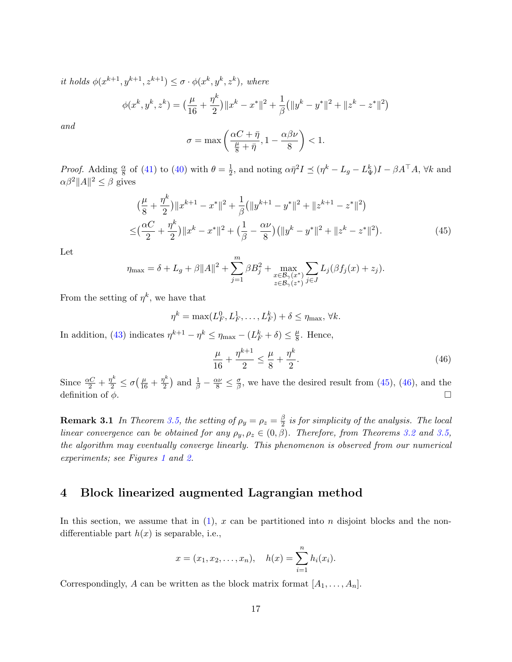it holds  $\phi(x^{k+1}, y^{k+1}, z^{k+1}) \leq \sigma \cdot \phi(x^k, y^k, z^k)$ , where

$$
\phi(x^k, y^k, z^k) = \left(\frac{\mu}{16} + \frac{\eta^k}{2}\right) \|x^k - x^*\|^2 + \frac{1}{\beta} \left(\|y^k - y^*\|^2 + \|z^k - z^*\|^2\right)
$$

and

$$
\sigma = \max\left(\frac{\alpha C + \bar{\eta}}{\frac{\mu}{8} + \bar{\eta}}, 1 - \frac{\alpha \beta \nu}{8}\right) < 1.
$$

*Proof.* Adding  $\frac{\alpha}{8}$  of [\(41\)](#page-14-0) to [\(40\)](#page-13-4) with  $\theta = \frac{1}{2}$  $\frac{1}{2}$ , and noting  $\alpha \bar{\eta}^2 I \preceq (\eta^k - L_g - L^k_{\Psi}) I - \beta A^{\top} A$ ,  $\forall k$  and  $\alpha\beta^2||A||^2 \leq \beta$  gives

$$
\begin{split} & \left( \frac{\mu}{8} + \frac{\eta^k}{2} \right) \|x^{k+1} - x^*\|^2 + \frac{1}{\beta} \left( \|y^{k+1} - y^*\|^2 + \|z^{k+1} - z^*\|^2 \right) \\ &\leq \left( \frac{\alpha C}{2} + \frac{\eta^k}{2} \right) \|x^k - x^*\|^2 + \left( \frac{1}{\beta} - \frac{\alpha \nu}{8} \right) \left( \|y^k - y^*\|^2 + \|z^k - z^*\|^2 \right). \end{split} \tag{45}
$$

Let

$$
\eta_{\max} = \delta + L_g + \beta ||A||^2 + \sum_{j=1}^{m} \beta B_j^2 + \max_{\substack{x \in \mathcal{B}_{\gamma}(x^*) \\ z \in \mathcal{B}_{\gamma}(z^*)}} \sum_{j \in J} L_j(\beta f_j(x) + z_j).
$$

From the setting of  $\eta^k$ , we have that

$$
\eta^k = \max(L_F^0, L_F^1, \dots, L_F^k) + \delta \le \eta_{\max}, \forall k.
$$

In addition, [\(43\)](#page-15-1) indicates  $\eta^{k+1} - \eta^k \le \eta_{\text{max}} - (L_F^k + \delta) \le \frac{\mu}{8}$  $\frac{\mu}{8}$ . Hence,

<span id="page-16-2"></span><span id="page-16-1"></span>
$$
\frac{\mu}{16} + \frac{\eta^{k+1}}{2} \le \frac{\mu}{8} + \frac{\eta^k}{2}.\tag{46}
$$

Since  $\frac{\alpha C}{2} + \frac{\eta^k}{2} \leq \sigma \left( \frac{\mu}{16} + \frac{\eta^k}{2} \right)$  $\frac{\eta^k}{2}$ ) and  $\frac{1}{\beta} - \frac{\alpha \nu}{8} \leq \frac{\sigma}{\beta}$  $\frac{\sigma}{\beta}$ , we have the desired result from [\(45\)](#page-16-1), [\(46\)](#page-16-2), and the definition of  $\phi$ .

**Remark 3.1** In Theorem [3.5,](#page-15-2) the setting of  $\rho_y = \rho_z = \frac{\beta}{2}$  $\frac{\beta}{2}$  is for simplicity of the analysis. The local linear convergence can be obtained for any  $\rho_y, \rho_z \in (0, \beta)$ . Therefore, from Theorems [3.2](#page-10-2) and [3.5,](#page-15-2) the algorithm may eventually converge linearly. This phenomenon is observed from our numerical experiments; see Figures [1](#page-25-2) and [2.](#page-26-0)

### <span id="page-16-0"></span>4 Block linearized augmented Lagrangian method

In this section, we assume that in  $(1)$ , x can be partitioned into n disjoint blocks and the nondifferentiable part  $h(x)$  is separable, i.e.,

$$
x = (x_1, x_2, \dots, x_n),
$$
  $h(x) = \sum_{i=1}^n h_i(x_i).$ 

Correspondingly, A can be written as the block matrix format  $[A_1, \ldots, A_n]$ .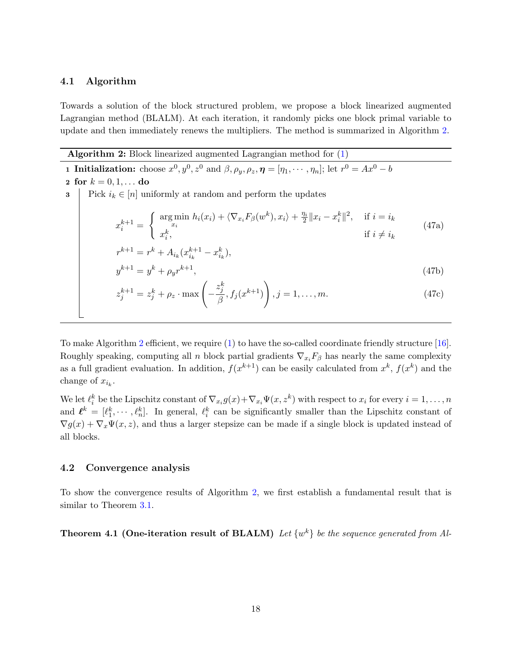### <span id="page-17-1"></span>4.1 Algorithm

Towards a solution of the block structured problem, we propose a block linearized augmented Lagrangian method (BLALM). At each iteration, it randomly picks one block primal variable to update and then immediately renews the multipliers. The method is summarized in Algorithm [2.](#page-17-0)

Algorithm 2: Block linearized augmented Lagrangian method for  $(1)$ 

<span id="page-17-0"></span>**1 Initialization:** choose  $x^0, y^0, z^0$  and  $\beta, \rho_y, \rho_z, \eta = [\eta_1, \cdots, \eta_n];$  let  $r^0 = Ax^0 - b$ 

2 for  $k = 0, 1, ...$  do 3 Pick  $i_k \in [n]$  uniformly at random and perform the updates  $x_i^{k+1} =$ ( arg min  $\lim_{x_i} h_i(x_i) + \langle \nabla_{x_i} F_\beta(w^k), x_i \rangle + \frac{\eta_i}{2} ||x_i - x_i^k||^2$ , if  $i = i_k$  $x_i^k$ , if  $i \neq i_k$ (47a)  $r^{k+1} = r^k + A_{i_k} (x_{i_k}^{k+1} - x_{i_k}^k),$  $y^{k+1} = y^k + \rho_y r^{k+1},$  (47b)  $z_{j}^{k+1}=z_{j}^{k}+\rho_{z}\cdot\max\Big(-% -\frac{1}{2}\int\limits_{0}^{x}z^{k}~\frac{ds}{s}~\text{.} \label{eq:z1}$  $z_j^k$  $\frac{\gamma_j}{\beta}, f_j(x^{k+1})$  $\setminus$  $, j = 1, \ldots, m.$  (47c)

To make Algorithm [2](#page-17-0) efficient, we require [\(1\)](#page-1-0) to have the so-called coordinate friendly structure [\[16\]](#page-28-9). Roughly speaking, computing all n block partial gradients  $\nabla_{x_i}F_\beta$  has nearly the same complexity as a full gradient evaluation. In addition,  $f(x^{k+1})$  can be easily calculated from  $x^k$ ,  $f(x^k)$  and the change of  $x_{i_k}$ .

We let  $\ell_i^k$  be the Lipschitz constant of  $\nabla_{x_i} g(x) + \nabla_{x_i} \Psi(x, z^k)$  with respect to  $x_i$  for every  $i = 1, \ldots, n$ and  $\ell^k = [\ell_1^k, \cdots, \ell_n^k]$ . In general,  $\ell_i^k$  can be significantly smaller than the Lipschitz constant of  $\nabla g(x) + \nabla_x \Psi(x, z)$ , and thus a larger stepsize can be made if a single block is updated instead of all blocks.

### 4.2 Convergence analysis

To show the convergence results of Algorithm [2,](#page-17-0) we first establish a fundamental result that is similar to Theorem [3.1.](#page-7-7)

**Theorem 4.1 (One-iteration result of BLALM)** Let  $\{w^k\}$  be the sequence generated from Al-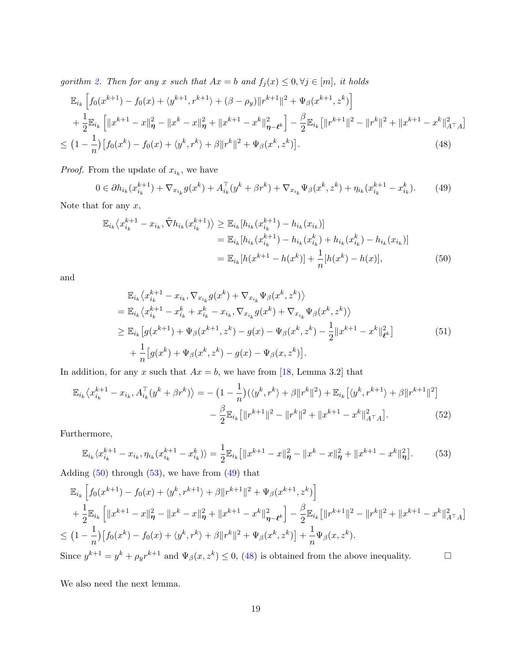<span id="page-18-5"></span>gorithm [2.](#page-17-0) Then for any x such that  $Ax = b$  and  $f_j(x) \leq 0, \forall j \in [m]$ , it holds

$$
\mathbb{E}_{i_k} \left[ f_0(x^{k+1}) - f_0(x) + \langle y^{k+1}, r^{k+1} \rangle + (\beta - \rho_y) \| r^{k+1} \|^2 + \Psi_\beta(x^{k+1}, z^k) \right] \n+ \frac{1}{2} \mathbb{E}_{i_k} \left[ \| x^{k+1} - x \|_{\eta}^2 - \| x^k - x \|_{\eta}^2 + \| x^{k+1} - x^k \|_{\eta - \ell^k}^2 \right] - \frac{\beta}{2} \mathbb{E}_{i_k} \left[ \| r^{k+1} \|^2 - \| r^k \|^2 + \| x^{k+1} - x^k \|_{A^\top A}^2 \right] \n\leq \left( 1 - \frac{1}{n} \right) \left[ f_0(x^k) - f_0(x) + \langle y^k, r^k \rangle + \beta \| r^k \|^2 + \Psi_\beta(x^k, z^k) \right].
$$
\n(48)

*Proof.* From the update of  $x_{i_k}$ , we have

<span id="page-18-3"></span><span id="page-18-2"></span> $0 \in \partial h_{i_k}(x_{i_k}^{k+1}) + \nabla_{x_{i_k}} g(x^k) + A_{i_k}^\top (y^k + \beta r^k) + \nabla_{x_{i_k}} \Psi_\beta(x^k, z^k) + \eta_{i_k} (x_{i_k}^{k+1} - x_{i_k}^k)$  $(49)$ 

Note that for any  $x$ ,

$$
\mathbb{E}_{i_k} \langle x_{i_k}^{k+1} - x_{i_k}, \tilde{\nabla} h_{i_k} (x_{i_k}^{k+1}) \rangle \ge \mathbb{E}_{i_k} [h_{i_k} (x_{i_k}^{k+1}) - h_{i_k} (x_{i_k})] \n= \mathbb{E}_{i_k} [h_{i_k} (x_{i_k}^{k+1}) - h_{i_k} (x_{i_k}^k) + h_{i_k} (x_{i_k}^k) - h_{i_k} (x_{i_k})] \n= \mathbb{E}_{i_k} [h(x^{k+1} - h(x^k)] + \frac{1}{n} [h(x^k) - h(x)],
$$
\n(50)

and

<span id="page-18-0"></span>
$$
\mathbb{E}_{i_k} \langle x_{i_k}^{k+1} - x_{i_k}, \nabla_{x_{i_k}} g(x^k) + \nabla_{x_{i_k}} \Psi_{\beta}(x^k, z^k) \rangle \n= \mathbb{E}_{i_k} \langle x_{i_k}^{k+1} - x_{i_k}^k + x_{i_k}^k - x_{i_k}, \nabla_{x_{i_k}} g(x^k) + \nabla_{x_{i_k}} \Psi_{\beta}(x^k, z^k) \rangle \n\geq \mathbb{E}_{i_k} \left[ g(x^{k+1}) + \Psi_{\beta}(x^{k+1}, z^k) - g(x) - \Psi_{\beta}(x^k, z^k) - \frac{1}{2} ||x^{k+1} - x^k||_{\ell^k}^2 \right] \n+ \frac{1}{n} \left[ g(x^k) + \Psi_{\beta}(x^k, z^k) - g(x) - \Psi_{\beta}(x, z^k) \right].
$$
\n(51)

In addition, for any x such that  $Ax = b$ , we have from [\[18,](#page-28-10) Lemma 3.2] that

$$
\mathbb{E}_{i_k} \langle x_{i_k}^{k+1} - x_{i_k}, A_{i_k}^\top (y^k + \beta r^k) \rangle = -\left(1 - \frac{1}{n}\right) (\langle y^k, r^k \rangle + \beta \|r^k\|^2) + \mathbb{E}_{i_k} \left[ \langle y^k, r^{k+1} \rangle + \beta \|r^{k+1}\|^2 \right] - \frac{\beta}{2} \mathbb{E}_{i_k} \left[ \|r^{k+1}\|^2 - \|r^k\|^2 + \|x^{k+1} - x^k\|^2_{A^\top A} \right].
$$
 (52)

Furthermore,

<span id="page-18-1"></span>
$$
\mathbb{E}_{i_k} \langle x_{i_k}^{k+1} - x_{i_k}, \eta_{i_k} (x_{i_k}^{k+1} - x_{i_k}^k) \rangle = \frac{1}{2} \mathbb{E}_{i_k} \big[ \|x^{k+1} - x\|_{\eta}^2 - \|x^k - x\|_{\eta}^2 + \|x^{k+1} - x^k\|_{\eta}^2 \big]. \tag{53}
$$

Adding  $(50)$  through  $(53)$ , we have from  $(49)$  that

$$
\mathbb{E}_{i_k} \left[ f_0(x^{k+1}) - f_0(x) + \langle y^k, r^{k+1} \rangle + \beta \| r^{k+1} \|^2 + \Psi_\beta(x^{k+1}, z^k) \right]
$$
\n
$$
+ \frac{1}{2} \mathbb{E}_{i_k} \left[ \| x^{k+1} - x \|^2_{\eta} - \| x^k - x \|^2_{\eta} + \| x^{k+1} - x^k \|^2_{\eta - \ell^k} \right] - \frac{\beta}{2} \mathbb{E}_{i_k} \left[ \| r^{k+1} \|^2 - \| r^k \|^2 + \| x^{k+1} - x^k \|^2_{A^\top A} \right]
$$
\n
$$
\leq \left( 1 - \frac{1}{n} \right) \left[ f_0(x^k) - f_0(x) + \langle y^k, r^k \rangle + \beta \| r^k \|^2 + \Psi_\beta(x^k, z^k) \right] + \frac{1}{n} \Psi_\beta(x, z^k).
$$

Since  $y^{k+1} = y^k + \rho_y r^{k+1}$  and  $\Psi_\beta(x, z^k) \leq 0$ , [\(48\)](#page-18-3) is obtained from the above inequality.

<span id="page-18-4"></span>We also need the next lemma.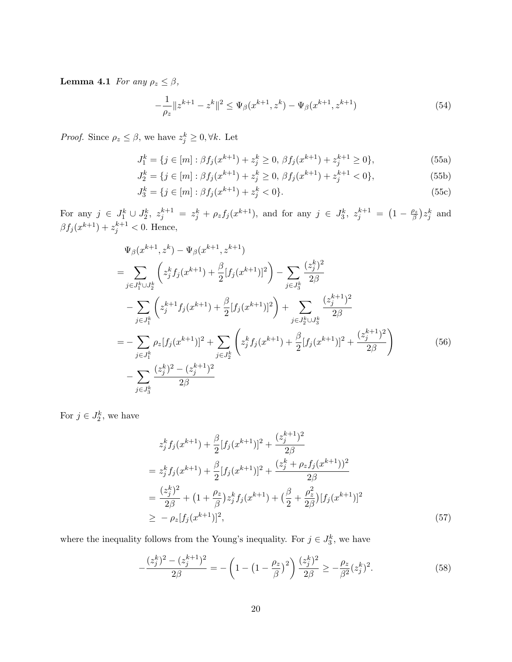**Lemma 4.1** For any  $\rho_z \leq \beta$ ,

<span id="page-19-3"></span>
$$
-\frac{1}{\rho_z}||z^{k+1} - z^k||^2 \le \Psi_\beta(x^{k+1}, z^k) - \Psi_\beta(x^{k+1}, z^{k+1})\tag{54}
$$

*Proof.* Since  $\rho_z \leq \beta$ , we have  $z_j^k \geq 0, \forall k$ . Let

$$
J_1^k = \{ j \in [m] : \beta f_j(x^{k+1}) + z_j^k \ge 0, \beta f_j(x^{k+1}) + z_j^{k+1} \ge 0 \},\tag{55a}
$$

$$
J_2^k = \{ j \in [m] : \beta f_j(x^{k+1}) + z_j^k \ge 0, \, \beta f_j(x^{k+1}) + z_j^{k+1} < 0 \},\tag{55b}
$$

$$
J_3^k = \{ j \in [m] : \beta f_j(x^{k+1}) + z_j^k < 0 \}. \tag{55c}
$$

For any  $j \in J_1^k \cup J_2^k$ ,  $z_j^{k+1} = z_j^k + \rho_z f_j(x^{k+1})$ , and for any  $j \in J_3^k$ ,  $z_j^{k+1} = \left(1 - \frac{\rho_z}{\beta}\right)$  $\frac{\partial z}{\partial}$ ) $z_j^k$  and  $\beta f_j(x^{k+1}) + z_j^{k+1} < 0$ . Hence,

$$
\Psi_{\beta}(x^{k+1}, z^k) - \Psi_{\beta}(x^{k+1}, z^{k+1})
$$
\n
$$
= \sum_{j \in J_1^k \cup J_2^k} \left( z_j^k f_j(x^{k+1}) + \frac{\beta}{2} [f_j(x^{k+1})]^2 \right) - \sum_{j \in J_3^k} \frac{(z_j^k)^2}{2\beta}
$$
\n
$$
- \sum_{j \in J_1^k} \left( z_j^{k+1} f_j(x^{k+1}) + \frac{\beta}{2} [f_j(x^{k+1})]^2 \right) + \sum_{j \in J_2^k \cup J_3^k} \frac{(z_j^{k+1})^2}{2\beta}
$$
\n
$$
= - \sum_{j \in J_1^k} \rho_z [f_j(x^{k+1})]^2 + \sum_{j \in J_2^k} \left( z_j^k f_j(x^{k+1}) + \frac{\beta}{2} [f_j(x^{k+1})]^2 + \frac{(z_j^{k+1})^2}{2\beta} \right)
$$
\n
$$
- \sum_{j \in J_3^k} \frac{(z_j^k)^2 - (z_j^{k+1})^2}{2\beta}
$$
\n(56)

For  $j \in J_2^k$ , we have

<span id="page-19-2"></span>
$$
z_j^k f_j(x^{k+1}) + \frac{\beta}{2} [f_j(x^{k+1})]^2 + \frac{(z_j^{k+1})^2}{2\beta}
$$
  
=  $z_j^k f_j(x^{k+1}) + \frac{\beta}{2} [f_j(x^{k+1})]^2 + \frac{(z_j^k + \rho_z f_j(x^{k+1}))^2}{2\beta}$   
=  $\frac{(z_j^k)^2}{2\beta} + (1 + \frac{\rho_z}{\beta}) z_j^k f_j(x^{k+1}) + (\frac{\beta}{2} + \frac{\rho_z^2}{2\beta}) [f_j(x^{k+1})]^2$   
 $\ge -\rho_z [f_j(x^{k+1})]^2,$  (57)

where the inequality follows from the Young's inequality. For  $j \in J_3^k$ , we have

<span id="page-19-1"></span><span id="page-19-0"></span>
$$
-\frac{(z_j^k)^2 - (z_j^{k+1})^2}{2\beta} = -\left(1 - \left(1 - \frac{\rho_z}{\beta}\right)^2\right)\frac{(z_j^k)^2}{2\beta} \ge -\frac{\rho_z}{\beta^2}(z_j^k)^2.
$$
 (58)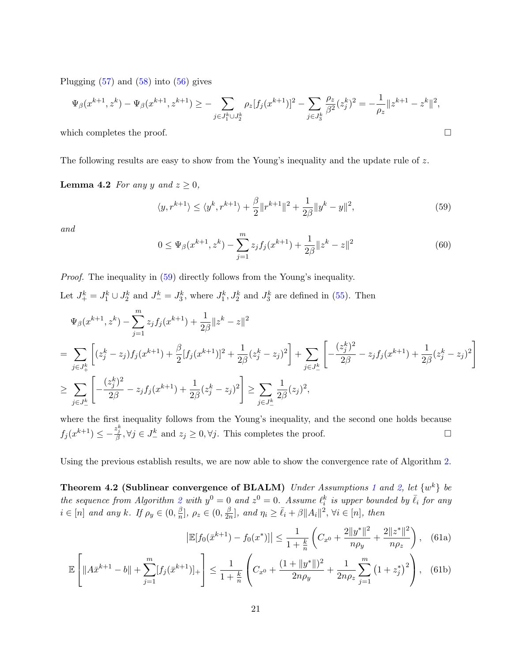Plugging  $(57)$  and  $(58)$  into  $(56)$  gives

$$
\Psi_{\beta}(x^{k+1}, z^k) - \Psi_{\beta}(x^{k+1}, z^{k+1}) \ge - \sum_{j \in J_1^k \cup J_2^k} \rho_z[f_j(x^{k+1})]^2 - \sum_{j \in J_3^k} \frac{\rho_z}{\beta^2} (z_j^k)^2 = -\frac{1}{\rho_z} ||z^{k+1} - z^k||^2,
$$

which completes the proof.  $\Box$ 

The following results are easy to show from the Young's inequality and the update rule of z.

**Lemma 4.2** For any y and  $z \geq 0$ ,

<span id="page-20-0"></span>
$$
\langle y, r^{k+1} \rangle \le \langle y^k, r^{k+1} \rangle + \frac{\beta}{2} \| r^{k+1} \|^2 + \frac{1}{2\beta} \| y^k - y \|^2,
$$
\n(59)

and

<span id="page-20-1"></span>
$$
0 \le \Psi_{\beta}(x^{k+1}, z^k) - \sum_{j=1}^m z_j f_j(x^{k+1}) + \frac{1}{2\beta} \|z^k - z\|^2
$$
\n
$$
(60)
$$

Proof. The inequality in [\(59\)](#page-20-0) directly follows from the Young's inequality. Let  $J_+^k = J_1^k \cup J_2^k$  and  $J_-^k = J_3^k$ , where  $J_1^k$ ,  $J_2^k$  and  $J_3^k$  are defined in [\(55\)](#page-19-3). Then

$$
\Psi_{\beta}(x^{k+1}, z^k) - \sum_{j=1}^m z_j f_j(x^{k+1}) + \frac{1}{2\beta} \|z^k - z\|^2
$$
\n
$$
= \sum_{j \in J_+^k} \left[ (z_j^k - z_j) f_j(x^{k+1}) + \frac{\beta}{2} [f_j(x^{k+1})]^2 + \frac{1}{2\beta} (z_j^k - z_j)^2 \right] + \sum_{j \in J_-^k} \left[ -\frac{(z_j^k)^2}{2\beta} - z_j f_j(x^{k+1}) + \frac{1}{2\beta} (z_j^k - z_j)^2 \right]
$$
\n
$$
\geq \sum_{j \in J_-^k} \left[ -\frac{(z_j^k)^2}{2\beta} - z_j f_j(x^{k+1}) + \frac{1}{2\beta} (z_j^k - z_j)^2 \right] \geq \sum_{j \in J_-^k} \frac{1}{2\beta} (z_j)^2,
$$

where the first inequality follows from the Young's inequality, and the second one holds because  $f_j(x^{k+1}) \leq -\frac{z_j^k}{\beta}, \forall j \in J^k_{-} \text{ and } z_j \geq 0, \forall j. \text{ This completes the proof.}$ 

<span id="page-20-3"></span>Using the previous establish results, we are now able to show the convergence rate of Algorithm [2.](#page-17-0)

**Theorem 4.2 (Sublinear convergence of BLALM)** Under Assumptions [1](#page-4-4) and [2,](#page-4-2) let  $\{w^k\}$  be the sequence from Algorithm [2](#page-17-0) with  $y^0 = 0$  and  $z^0 = 0$ . Assume  $\ell_i^k$  is upper bounded by  $\bar{\ell}_i$  for any  $i \in [n]$  and any k. If  $\rho_y \in (0, \frac{\beta}{n}]$  $\frac{\beta}{n}], \rho_z \in (0, \frac{\beta}{2n}$  $\frac{\beta}{2n}$ , and  $\eta_i \geq \bar{\ell}_i + \beta ||A_i||^2$ ,  $\forall i \in [n]$ , then

<span id="page-20-2"></span>
$$
\left| \mathbb{E}[f_0(\bar{x}^{k+1}) - f_0(x^*)] \right| \le \frac{1}{1 + \frac{k}{n}} \left( C_{x^0} + \frac{2\|y^*\|^2}{n\rho_y} + \frac{2\|z^*\|^2}{n\rho_z} \right), \quad (61a)
$$

$$
\mathbb{E}\left[\|A\bar{x}^{k+1} - b\| + \sum_{j=1}^{m} [f_j(\bar{x}^{k+1})]_+\right] \le \frac{1}{1+\frac{k}{n}} \left(C_{x^0} + \frac{(1+\|y^*\|)^2}{2n\rho_y} + \frac{1}{2n\rho_z} \sum_{j=1}^{m} \left(1 + z_j^*\right)^2\right),\tag{61b}
$$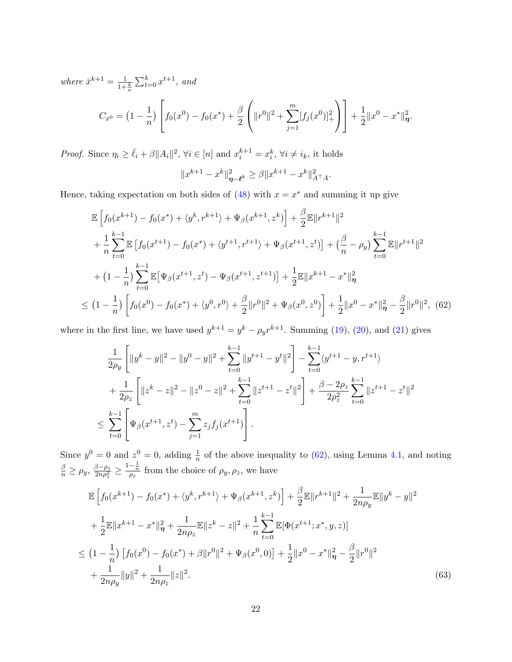where  $\bar{x}^{k+1} = \frac{1}{1+\frac{k}{n}} \sum_{t=0}^{k} x^{t+1}$ , and

$$
C_{x^{0}} = \left(1 - \frac{1}{n}\right) \left[ f_{0}(x^{0}) - f_{0}(x^{*}) + \frac{\beta}{2} \left( \|r^{0}\|^{2} + \sum_{j=1}^{m} [f_{j}(x^{0})]_{+}^{2} \right) \right] + \frac{1}{2} \|x^{0} - x^{*}\|_{\eta}^{2}.
$$

*Proof.* Since  $\eta_i \geq \bar{\ell}_i + \beta ||A_i||^2$ ,  $\forall i \in [n]$  and  $x_i^{k+1} = x_i^k$ ,  $\forall i \neq i_k$ , it holds

<span id="page-21-0"></span>
$$
||x^{k+1} - x^k||_{\eta - \ell^k}^2 \ge \beta ||x^{k+1} - x^k||_{A^\top A}^2.
$$

Hence, taking expectation on both sides of  $(48)$  with  $x = x^*$  and summing it up give

$$
\mathbb{E}\left[f_{0}(x^{k+1})-f_{0}(x^{*})+\langle y^{k}, r^{k+1}\rangle+\Psi_{\beta}(x^{k+1}, z^{k})\right]+\frac{\beta}{2}\mathbb{E}\|r^{k+1}\|^{2}
$$
\n
$$
+\frac{1}{n}\sum_{t=0}^{k-1}\mathbb{E}\left[f_{0}(x^{t+1})-f_{0}(x^{*})+\langle y^{t+1}, r^{t+1}\rangle+\Psi_{\beta}(x^{t+1}, z^{t})\right]+\left(\frac{\beta}{n}-\rho_{y}\right)\sum_{t=0}^{k-1}\mathbb{E}\|r^{t+1}\|^{2}
$$
\n
$$
+(1-\frac{1}{n})\sum_{t=0}^{k-1}\mathbb{E}\left[\Psi_{\beta}(x^{t+1}, z^{t})-\Psi_{\beta}(x^{t+1}, z^{t+1})\right]+\frac{1}{2}\mathbb{E}\|x^{k+1}-x^{*}\|_{\eta}^{2}
$$
\n
$$
\leq (1-\frac{1}{n})\left[f_{0}(x^{0})-f_{0}(x^{*})+\langle y^{0}, r^{0}\rangle+\frac{\beta}{2}\|r^{0}\|^{2}+\Psi_{\beta}(x^{0}, z^{0})\right]+\frac{1}{2}\|x^{0}-x^{*}\|_{\eta}^{2}-\frac{\beta}{2}\|r^{0}\|^{2}, (62)
$$

where in the first line, we have used  $y^{k+1} = y^k - \rho_y r^{k+1}$ . Summing [\(19\)](#page-7-4), [\(20\)](#page-7-5), and [\(21\)](#page-7-6) gives

$$
\frac{1}{2\rho_y} \left[ \|y^k - y\|^2 - \|y^0 - y\|^2 + \sum_{t=0}^{k-1} \|y^{t+1} - y^t\|^2 \right] - \sum_{t=0}^{k-1} \langle y^{t+1} - y, r^{t+1} \rangle
$$
  
+ 
$$
\frac{1}{2\rho_z} \left[ \|z^k - z\|^2 - \|z^0 - z\|^2 + \sum_{t=0}^{k-1} \|z^{t+1} - z^t\|^2 \right] + \frac{\beta - 2\rho_z}{2\rho_z^2} \sum_{t=0}^{k-1} \|z^{t+1} - z^t\|^2
$$
  

$$
\leq \sum_{t=0}^{k-1} \left[ \Psi_\beta(x^{t+1}, z^t) - \sum_{j=1}^m z_j f_j(x^{t+1}) \right].
$$

Since  $y^0 = 0$  and  $z^0 = 0$ , adding  $\frac{1}{n}$  of the above inequality to [\(62\)](#page-21-0), using Lemma [4.1,](#page-18-4) and noting  $\frac{\beta}{n} \geq \rho_y, \frac{\beta - \rho_z}{2n\rho_z^2}$  $\frac{\beta-\rho_z}{2n\rho_z^2} \geq \frac{1-\frac{1}{n}}{\rho_z}$  from the choice of  $\rho_y, \rho_z$ , we have

<span id="page-21-1"></span>
$$
\mathbb{E}\left[f_{0}(x^{k+1})-f_{0}(x^{*})+\langle y^{k}, r^{k+1}\rangle+\Psi_{\beta}(x^{k+1}, z^{k})\right]+\frac{\beta}{2}\mathbb{E}\|r^{k+1}\|^{2}+\frac{1}{2n\rho_{y}}\mathbb{E}\|y^{k}-y\|^{2}
$$
\n
$$
+\frac{1}{2}\mathbb{E}\|x^{k+1}-x^{*}\|_{\eta}^{2}+\frac{1}{2n\rho_{z}}\mathbb{E}\|z^{k}-z\|^{2}+\frac{1}{n}\sum_{t=0}^{k-1}\mathbb{E}[\Phi(x^{t+1};x^{*},y,z)]
$$
\n
$$
\leq (1-\frac{1}{n})\left[f_{0}(x^{0})-f_{0}(x^{*})+\beta\|r^{0}\|^{2}+\Psi_{\beta}(x^{0},0)\right]+\frac{1}{2}\|x^{0}-x^{*}\|_{\eta}^{2}-\frac{\beta}{2}\|r^{0}\|^{2}
$$
\n
$$
+\frac{1}{2n\rho_{y}}\|y\|^{2}+\frac{1}{2n\rho_{z}}\|z\|^{2}.\tag{63}
$$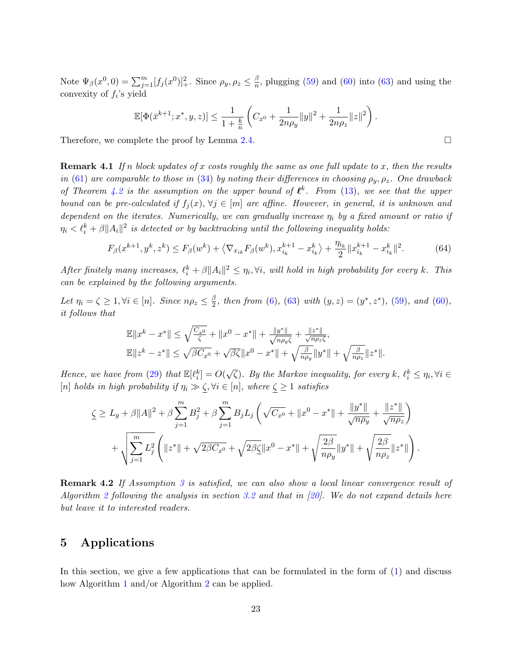<span id="page-22-2"></span>Note  $\Psi_{\beta}(x^0, 0) = \sum_{j=1}^m [f_j(x^0)]_+^2$ . Since  $\rho_y, \rho_z \leq \frac{\beta}{n}$  $\frac{\beta}{n}$ , plugging [\(59\)](#page-20-0) and [\(60\)](#page-20-1) into [\(63\)](#page-21-1) and using the convexity of  $f_i$ 's yield

$$
\mathbb{E}[\Phi(\bar{x}^{k+1};x^*,y,z)] \leq \frac{1}{1+\frac{k}{n}} \left( C_{x^0} + \frac{1}{2n\rho_y} ||y||^2 + \frac{1}{2n\rho_z} ||z||^2 \right).
$$

Therefore, we complete the proof by Lemma [2.4.](#page-6-2)

**Remark 4.1** If n block updates of x costs roughly the same as one full update to x, then the results in [\(61\)](#page-20-2) are comparable to those in [\(34\)](#page-11-1) by noting their differences in choosing  $\rho_y, \rho_z$ . One drawback of Theorem [4.2](#page-20-3) is the assumption on the upper bound of  $\ell^k$ . From [\(13\)](#page-5-4), we see that the upper bound can be pre-calculated if  $f_j(x)$ ,  $\forall j \in [m]$  are affine. However, in general, it is unknown and dependent on the iterates. Numerically, we can gradually increase  $\eta_i$  by a fixed amount or ratio if  $\eta_i < \ell_i^k + \beta ||A_i||^2$  is detected or by backtracking until the following inequality holds:

<span id="page-22-1"></span>
$$
F_{\beta}(x^{k+1}, y^k, z^k) \le F_{\beta}(w^k) + \left\langle \nabla_{x_{ik}} F_{\beta}(w^k), x_{i_k}^{k+1} - x_{i_k}^k \right\rangle + \frac{\eta_{i_k}}{2} \|x_{i_k}^{k+1} - x_{i_k}^k\|^2. \tag{64}
$$

After finitely many increases,  $\ell_i^k + \beta ||A_i||^2 \leq \eta_i$ ,  $\forall i$ , will hold in high probability for every k. This can be explained by the following arguments.

Let  $\eta_i = \zeta \geq 1, \forall i \in [n]$ . Since  $n \rho_z \leq \frac{\beta}{2}$  $\frac{\beta}{2}$ , then from [\(6\)](#page-4-3), [\(63\)](#page-21-1) with  $(y, z) = (y^*, z^*)$ , [\(59\)](#page-20-0), and [\(60\)](#page-20-1), it follows that

$$
\mathbb{E}||x^{k} - x^{*}|| \leq \sqrt{\frac{C_{x0}}{\zeta}} + ||x^{0} - x^{*}|| + \frac{||y^{*}||}{\sqrt{n_{\rho_{y}}\zeta}} + \frac{||z^{*}||}{\sqrt{n_{\rho_{z}}\zeta}},
$$
  

$$
\mathbb{E}||z^{k} - z^{*}|| \leq \sqrt{\beta C_{x^{0}}} + \sqrt{\beta \zeta}||x^{0} - x^{*}|| + \sqrt{\frac{\beta}{n_{\rho_{y}}}}||y^{*}|| + \sqrt{\frac{\beta}{n_{\rho_{z}}}}||z^{*}||.
$$

Hence, we have from [\(29\)](#page-9-1) that  $\mathbb{E}[\ell_i^k] = O(k)$ √  $\overline{\zeta}$ ). By the Markov inequality, for every  $k, \ell_i^k \leq \eta_i, \forall i \in$ [n] holds in high probability if  $\eta_i \gg \zeta$ ,  $\forall i \in [n]$ , where  $\zeta \geq 1$  satisfies

$$
\underline{\zeta} \ge L_g + \beta ||A||^2 + \beta \sum_{j=1}^m B_j^2 + \beta \sum_{j=1}^m B_j L_j \left( \sqrt{C_{x^0}} + ||x^0 - x^*|| + \frac{||y^*||}{\sqrt{n \rho_y}} + \frac{||z^*||}{\sqrt{n \rho_z}} \right) + \sqrt{\sum_{j=1}^m L_j^2} \left( ||z^*|| + \sqrt{2\beta C_{x^0}} + \sqrt{2\beta \underline{\zeta}} ||x^0 - x^*|| + \sqrt{\frac{2\beta}{n \rho_y}} ||y^*|| + \sqrt{\frac{2\beta}{n \rho_z}} ||z^*|| \right).
$$

**Remark 4.2** If Assumption [3](#page-12-3) is satisfied, we can also show a local linear convergence result of Algorithm [2](#page-17-0) following the analysis in section [3.2](#page-12-4) and that in  $[20]$ . We do not expand details here but leave it to interested readers.

### <span id="page-22-0"></span>5 Applications

In this section, we give a few applications that can be formulated in the form of [\(1\)](#page-1-0) and discuss how Algorithm [1](#page-7-0) and/or Algorithm [2](#page-17-0) can be applied.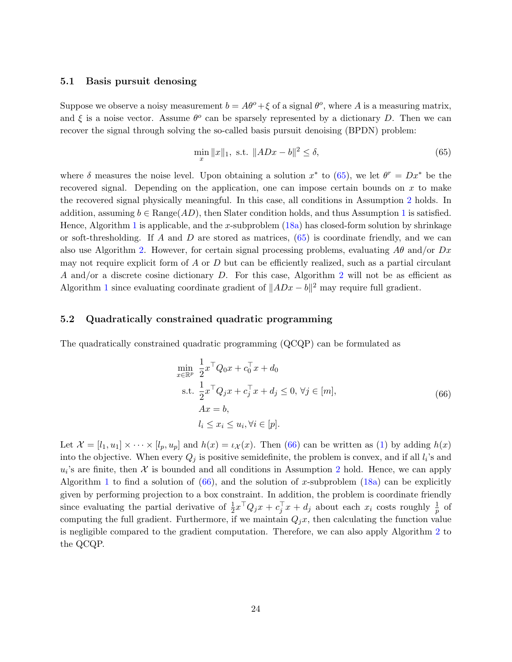### 5.1 Basis pursuit denosing

Suppose we observe a noisy measurement  $b = A\theta^o + \xi$  of a signal  $\theta^o$ , where A is a measuring matrix, and  $\xi$  is a noise vector. Assume  $\theta^o$  can be sparsely represented by a dictionary D. Then we can recover the signal through solving the so-called basis pursuit denoising (BPDN) problem:

<span id="page-23-0"></span>
$$
\min_{x} \|x\|_{1}, \text{ s.t. } \|ADx - b\|^{2} \le \delta,
$$
\n(65)

where  $\delta$  measures the noise level. Upon obtaining a solution  $x^*$  to [\(65\)](#page-23-0), we let  $\theta^r = Dx^*$  be the recovered signal. Depending on the application, one can impose certain bounds on  $x$  to make the recovered signal physically meaningful. In this case, all conditions in Assumption [2](#page-4-2) holds. In addition, assuming  $b \in \text{Range}(AD)$ , then Slater condition holds, and thus Assumption [1](#page-4-4) is satisfied. Hence, Algorithm [1](#page-7-0) is applicable, and the x-subproblem  $(18a)$  has closed-form solution by shrinkage or soft-thresholding. If A and D are stored as matrices,  $(65)$  is coordinate friendly, and we can also use Algorithm [2.](#page-17-0) However, for certain signal processing problems, evaluating  $A\theta$  and/or  $Dx$ may not require explicit form of  $A$  or  $D$  but can be efficiently realized, such as a partial circulant A and/or a discrete cosine dictionary D. For this case, Algorithm [2](#page-17-0) will not be as efficient as Algorithm [1](#page-7-0) since evaluating coordinate gradient of  $||ADx - b||^2$  may require full gradient.

### 5.2 Quadratically constrained quadratic programming

The quadratically constrained quadratic programming (QCQP) can be formulated as

<span id="page-23-1"></span>
$$
\min_{x \in \mathbb{R}^p} \frac{1}{2} x^\top Q_0 x + c_0^\top x + d_0
$$
\n
$$
\text{s.t. } \frac{1}{2} x^\top Q_j x + c_j^\top x + d_j \le 0, \forall j \in [m],
$$
\n
$$
Ax = b,
$$
\n
$$
l_i \le x_i \le u_i, \forall i \in [p].
$$
\n(66)

Let  $\mathcal{X} = [l_1, u_1] \times \cdots \times [l_p, u_p]$  and  $h(x) = \iota_{\mathcal{X}}(x)$ . Then [\(66\)](#page-23-1) can be written as [\(1\)](#page-1-0) by adding  $h(x)$ into the objective. When every  $Q_j$  is positive semidefinite, the problem is convex, and if all  $l_i$ 's and  $u_i$ 's are finite, then  $\mathcal X$  is bounded and all conditions in Assumption [2](#page-4-2) hold. Hence, we can apply Algorithm [1](#page-7-0) to find a solution of  $(66)$ , and the solution of x-subproblem  $(18a)$  can be explicitly given by performing projection to a box constraint. In addition, the problem is coordinate friendly since evaluating the partial derivative of  $\frac{1}{2}x^{\top}Q_jx + c_j^{\top}x + d_j$  about each  $x_i$  costs roughly  $\frac{1}{p}$  of computing the full gradient. Furthermore, if we maintain  $Q_i x$ , then calculating the function value is negligible compared to the gradient computation. Therefore, we can also apply Algorithm [2](#page-17-0) to the QCQP.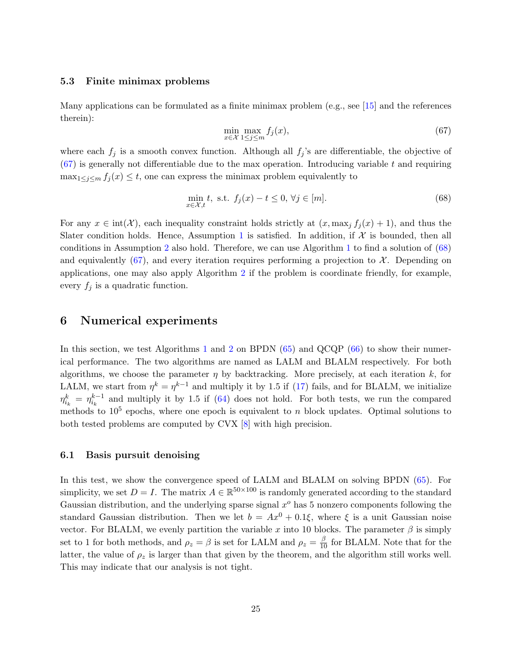#### <span id="page-24-3"></span>5.3 Finite minimax problems

Many applications can be formulated as a finite minimax problem (e.g., see [\[15\]](#page-28-11) and the references therein):

<span id="page-24-1"></span>
$$
\min_{x \in \mathcal{X}} \max_{1 \le j \le m} f_j(x),\tag{67}
$$

where each  $f_j$  is a smooth convex function. Although all  $f_j$ 's are differentiable, the objective of  $(67)$  is generally not differentiable due to the max operation. Introducing variable t and requiring  $\max_{1 \leq j \leq m} f_j(x) \leq t$ , one can express the minimax problem equivalently to

<span id="page-24-2"></span>
$$
\min_{x \in \mathcal{X}, t} t, \text{ s.t. } f_j(x) - t \le 0, \forall j \in [m]. \tag{68}
$$

For any  $x \in \text{int}(\mathcal{X})$ , each inequality constraint holds strictly at  $(x, \max_i f_i(x) + 1)$ , and thus the Slater condition holds. Hence, Assumption [1](#page-4-4) is satisfied. In addition, if  $\mathcal X$  is bounded, then all conditions in Assumption [2](#page-4-2) also hold. Therefore, we can use Algorithm [1](#page-7-0) to find a solution of  $(68)$ and equivalently [\(67\)](#page-24-1), and every iteration requires performing a projection to  $\mathcal{X}$ . Depending on applications, one may also apply Algorithm [2](#page-17-0) if the problem is coordinate friendly, for example, every  $f_i$  is a quadratic function.

### <span id="page-24-0"></span>6 Numerical experiments

In this section, we test Algorithms [1](#page-7-0) and [2](#page-17-0) on BPDN [\(65\)](#page-23-0) and QCQP [\(66\)](#page-23-1) to show their numerical performance. The two algorithms are named as LALM and BLALM respectively. For both algorithms, we choose the parameter  $\eta$  by backtracking. More precisely, at each iteration k, for LALM, we start from  $\eta^k = \eta^{k-1}$  and multiply it by 1.5 if [\(17\)](#page-6-3) fails, and for BLALM, we initialize  $\eta_{i_k}^k = \eta_{i_k}^{k-1}$  and multiply it by 1.5 if [\(64\)](#page-22-1) does not hold. For both tests, we run the compared methods to  $10^5$  epochs, where one epoch is equivalent to n block updates. Optimal solutions to both tested problems are computed by CVX [\[8\]](#page-27-8) with high precision.

### 6.1 Basis pursuit denoising

In this test, we show the convergence speed of LALM and BLALM on solving BPDN [\(65\)](#page-23-0). For simplicity, we set  $D = I$ . The matrix  $A \in \mathbb{R}^{50 \times 100}$  is randomly generated according to the standard Gaussian distribution, and the underlying sparse signal  $x<sup>o</sup>$  has 5 nonzero components following the standard Gaussian distribution. Then we let  $b = Ax^0 + 0.1\xi$ , where  $\xi$  is a unit Gaussian noise vector. For BLALM, we evenly partition the variable x into 10 blocks. The parameter  $\beta$  is simply set to 1 for both methods, and  $\rho_z = \beta$  is set for LALM and  $\rho_z = \frac{\beta}{10}$  for BLALM. Note that for the latter, the value of  $\rho_z$  is larger than that given by the theorem, and the algorithm still works well. This may indicate that our analysis is not tight.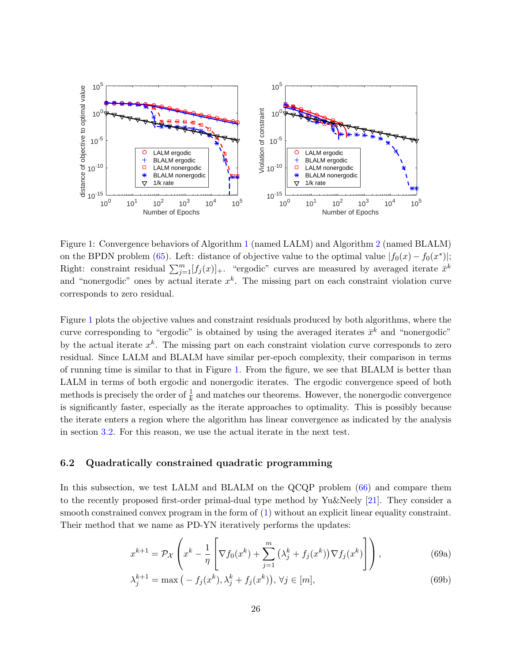<span id="page-25-3"></span>

<span id="page-25-2"></span>Figure 1: Convergence behaviors of Algorithm [1](#page-7-0) (named LALM) and Algorithm [2](#page-17-0) (named BLALM) on the BPDN problem [\(65\)](#page-23-0). Left: distance of objective value to the optimal value  $|f_0(x) - f_0(x^*)|$ ; Right: constraint residual  $\sum_{j=1}^{m} [f_j(x)]_+$ . "ergodic" curves are measured by averaged iterate  $\bar{x}^k$ and "nonergodic" ones by actual iterate  $x^k$ . The missing part on each constraint violation curve corresponds to zero residual.

Figure [1](#page-25-2) plots the objective values and constraint residuals produced by both algorithms, where the curve corresponding to "ergodic" is obtained by using the averaged iterates  $\bar{x}^k$  and "nonergodic" by the actual iterate  $x^k$ . The missing part on each constraint violation curve corresponds to zero residual. Since LALM and BLALM have similar per-epoch complexity, their comparison in terms of running time is similar to that in Figure [1.](#page-25-2) From the figure, we see that BLALM is better than LALM in terms of both ergodic and nonergodic iterates. The ergodic convergence speed of both methods is precisely the order of  $\frac{1}{k}$  and matches our theorems. However, the nonergodic convergence is significantly faster, especially as the iterate approaches to optimality. This is possibly because the iterate enters a region where the algorithm has linear convergence as indicated by the analysis in section [3.2.](#page-12-4) For this reason, we use the actual iterate in the next test.

### <span id="page-25-1"></span>6.2 Quadratically constrained quadratic programming

In this subsection, we test LALM and BLALM on the QCQP problem [\(66\)](#page-23-1) and compare them to the recently proposed first-order primal-dual type method by Yu&Neely [\[21\]](#page-28-8). They consider a smooth constrained convex program in the form of [\(1\)](#page-1-0) without an explicit linear equality constraint. Their method that we name as PD-YN iteratively performs the updates:

<span id="page-25-0"></span>
$$
x^{k+1} = \mathcal{P}_{\mathcal{X}}\left(x^k - \frac{1}{\eta} \left[\nabla f_0(x^k) + \sum_{j=1}^m \left(\lambda_j^k + f_j(x^k)\right) \nabla f_j(x^k)\right]\right),\tag{69a}
$$

$$
\lambda_j^{k+1} = \max\left(-f_j(x^k), \lambda_j^k + f_j(x^k)\right), \forall j \in [m],\tag{69b}
$$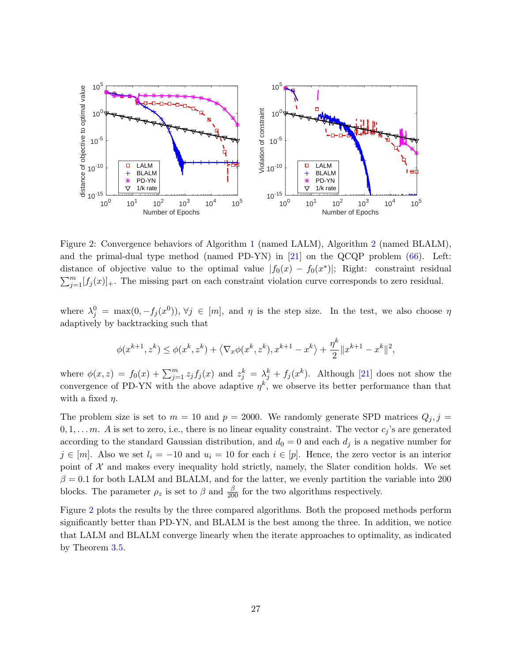<span id="page-26-1"></span>

<span id="page-26-0"></span>Figure 2: Convergence behaviors of Algorithm [1](#page-7-0) (named LALM), Algorithm [2](#page-17-0) (named BLALM), and the primal-dual type method (named PD-YN) in [\[21\]](#page-28-8) on the QCQP problem [\(66\)](#page-23-1). Left: distance of objective value to the optimal value  $|f_0(x) - f_0(x^*)|$ ; Right: constraint residual  $\sum_{j=1}^{m} [f_j(x)]_+$ . The missing part on each constraint violation curve corresponds to zero residual.

where  $\lambda_j^0 = \max(0, -f_j(x^0)), \forall j \in [m],$  and  $\eta$  is the step size. In the test, we also choose  $\eta$ adaptively by backtracking such that

$$
\phi(x^{k+1}, z^k) \le \phi(x^k, z^k) + \langle \nabla_x \phi(x^k, z^k), x^{k+1} - x^k \rangle + \frac{\eta^k}{2} \|x^{k+1} - x^k\|^2,
$$

where  $\phi(x, z) = f_0(x) + \sum_{j=1}^m z_j f_j(x)$  and  $z_j^k = \lambda_j^k + f_j(x^k)$ . Although [\[21\]](#page-28-8) does not show the convergence of PD-YN with the above adaptive  $\eta^k$ , we observe its better performance than that with a fixed  $\eta$ .

The problem size is set to  $m = 10$  and  $p = 2000$ . We randomly generate SPD matrices  $Q_j, j =$  $0, 1, \ldots, m$ . A is set to zero, i.e., there is no linear equality constraint. The vector  $c_j$ 's are generated according to the standard Gaussian distribution, and  $d_0 = 0$  and each  $d_i$  is a negative number for  $j \in [m]$ . Also we set  $l_i = -10$  and  $u_i = 10$  for each  $i \in [p]$ . Hence, the zero vector is an interior point of  $X$  and makes every inequality hold strictly, namely, the Slater condition holds. We set  $\beta = 0.1$  for both LALM and BLALM, and for the latter, we evenly partition the variable into 200 blocks. The parameter  $\rho_z$  is set to  $\beta$  and  $\frac{\beta}{200}$  for the two algorithms respectively.

Figure [2](#page-26-0) plots the results by the three compared algorithms. Both the proposed methods perform significantly better than PD-YN, and BLALM is the best among the three. In addition, we notice that LALM and BLALM converge linearly when the iterate approaches to optimality, as indicated by Theorem [3.5.](#page-15-2)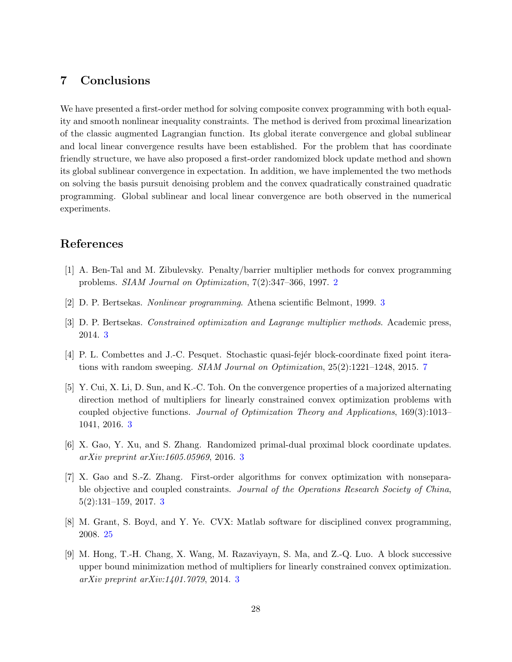# <span id="page-27-6"></span>7 Conclusions

We have presented a first-order method for solving composite convex programming with both equality and smooth nonlinear inequality constraints. The method is derived from proximal linearization of the classic augmented Lagrangian function. Its global iterate convergence and global sublinear and local linear convergence results have been established. For the problem that has coordinate friendly structure, we have also proposed a first-order randomized block update method and shown its global sublinear convergence in expectation. In addition, we have implemented the two methods on solving the basis pursuit denoising problem and the convex quadratically constrained quadratic programming. Global sublinear and local linear convergence are both observed in the numerical experiments.

# References

- <span id="page-27-0"></span>[1] A. Ben-Tal and M. Zibulevsky. Penalty/barrier multiplier methods for convex programming problems. SIAM Journal on Optimization, 7(2):347–366, 1997. [2](#page-1-2)
- <span id="page-27-1"></span>[2] D. P. Bertsekas. Nonlinear programming. Athena scientific Belmont, 1999. [3](#page-2-0)
- <span id="page-27-2"></span>[3] D. P. Bertsekas. Constrained optimization and Lagrange multiplier methods. Academic press, 2014. [3](#page-2-0)
- <span id="page-27-7"></span>[4] P. L. Combettes and J.-C. Pesquet. Stochastic quasi-fejer block-coordinate fixed point iterations with random sweeping. SIAM Journal on Optimization, 25(2):1221–1248, 2015. [7](#page-6-4)
- <span id="page-27-3"></span>[5] Y. Cui, X. Li, D. Sun, and K.-C. Toh. On the convergence properties of a majorized alternating direction method of multipliers for linearly constrained convex optimization problems with coupled objective functions. Journal of Optimization Theory and Applications, 169(3):1013– 1041, 2016. [3](#page-2-0)
- [6] X. Gao, Y. Xu, and S. Zhang. Randomized primal-dual proximal block coordinate updates. arXiv preprint arXiv:1605.05969, 2016. [3](#page-2-0)
- <span id="page-27-4"></span>[7] X. Gao and S.-Z. Zhang. First-order algorithms for convex optimization with nonseparable objective and coupled constraints. Journal of the Operations Research Society of China, 5(2):131–159, 2017. [3](#page-2-0)
- <span id="page-27-8"></span>[8] M. Grant, S. Boyd, and Y. Ye. CVX: Matlab software for disciplined convex programming, 2008. [25](#page-24-3)
- <span id="page-27-5"></span>[9] M. Hong, T.-H. Chang, X. Wang, M. Razaviyayn, S. Ma, and Z.-Q. Luo. A block successive upper bound minimization method of multipliers for linearly constrained convex optimization. arXiv preprint arXiv:1401.7079, 2014. [3](#page-2-0)